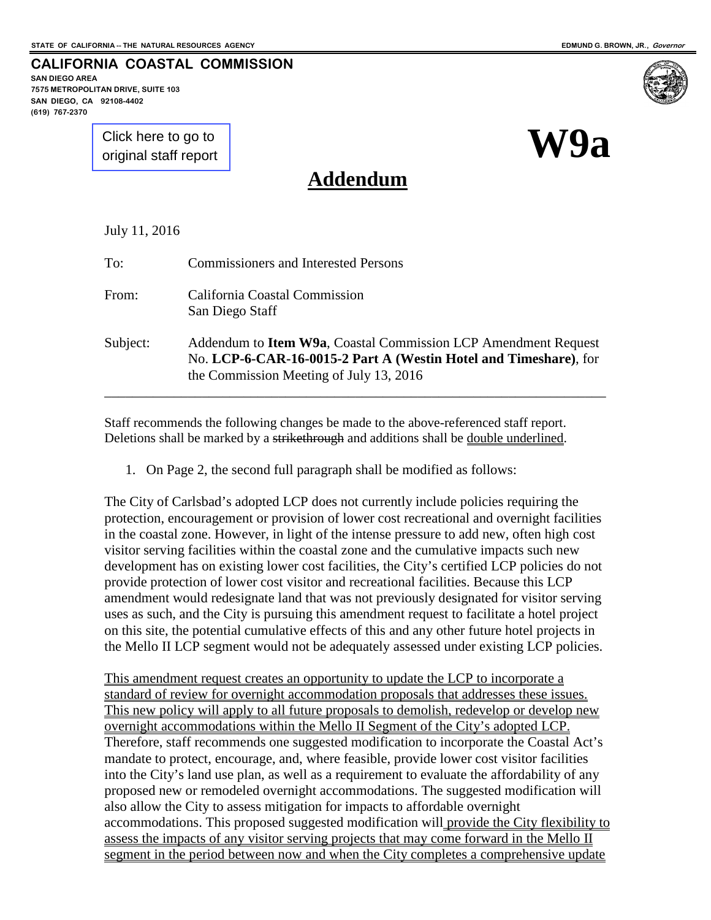**W9a**

**CALIFORNIA COASTAL COMMISSION**

**SAN DIEGO AREA 7575 METROPOLITAN DRIVE, SUITE 103 SAN DIEGO, CA 92108-4402 (619) 767-2370**

> [Click here to go to](#page-6-0)  original staff report

# **Addendum**

|  |  |  | July 11, 2016 |
|--|--|--|---------------|
|--|--|--|---------------|

| To:      | <b>Commissioners and Interested Persons</b>                                                                                                                                           |
|----------|---------------------------------------------------------------------------------------------------------------------------------------------------------------------------------------|
| From:    | California Coastal Commission<br>San Diego Staff                                                                                                                                      |
| Subject: | Addendum to <b>Item W9a</b> , Coastal Commission LCP Amendment Request<br>No. LCP-6-CAR-16-0015-2 Part A (Westin Hotel and Timeshare), for<br>the Commission Meeting of July 13, 2016 |

Staff recommends the following changes be made to the above-referenced staff report. Deletions shall be marked by a strikethrough and additions shall be double underlined.

1. On Page 2, the second full paragraph shall be modified as follows:

The City of Carlsbad's adopted LCP does not currently include policies requiring the protection, encouragement or provision of lower cost recreational and overnight facilities in the coastal zone. However, in light of the intense pressure to add new, often high cost visitor serving facilities within the coastal zone and the cumulative impacts such new development has on existing lower cost facilities, the City's certified LCP policies do not provide protection of lower cost visitor and recreational facilities. Because this LCP amendment would redesignate land that was not previously designated for visitor serving uses as such, and the City is pursuing this amendment request to facilitate a hotel project on this site, the potential cumulative effects of this and any other future hotel projects in the Mello II LCP segment would not be adequately assessed under existing LCP policies.

This amendment request creates an opportunity to update the LCP to incorporate a standard of review for overnight accommodation proposals that addresses these issues. This new policy will apply to all future proposals to demolish, redevelop or develop new overnight accommodations within the Mello II Segment of the City's adopted LCP. Therefore, staff recommends one suggested modification to incorporate the Coastal Act's mandate to protect, encourage, and, where feasible, provide lower cost visitor facilities into the City's land use plan, as well as a requirement to evaluate the affordability of any proposed new or remodeled overnight accommodations. The suggested modification will also allow the City to assess mitigation for impacts to affordable overnight accommodations. This proposed suggested modification will provide the City flexibility to assess the impacts of any visitor serving projects that may come forward in the Mello II segment in the period between now and when the City completes a comprehensive update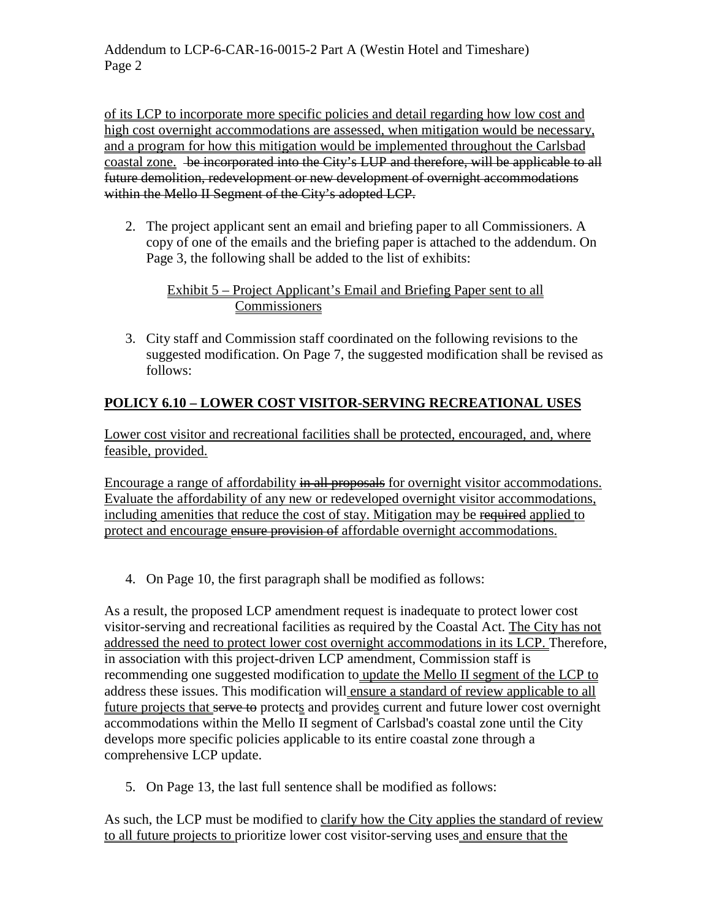of its LCP to incorporate more specific policies and detail regarding how low cost and high cost overnight accommodations are assessed, when mitigation would be necessary, and a program for how this mitigation would be implemented throughout the Carlsbad coastal zone. be incorporated into the City's LUP and therefore, will be applicable to all future demolition, redevelopment or new development of overnight accommodations within the Mello II Segment of the City's adopted LCP.

2. The project applicant sent an email and briefing paper to all Commissioners. A copy of one of the emails and the briefing paper is attached to the addendum. On Page 3, the following shall be added to the list of exhibits:

#### Exhibit 5 – Project Applicant's Email and Briefing Paper sent to all **Commissioners**

3. City staff and Commission staff coordinated on the following revisions to the suggested modification. On Page 7, the suggested modification shall be revised as follows:

## **POLICY 6.10 – LOWER COST VISITOR-SERVING RECREATIONAL USES**

Lower cost visitor and recreational facilities shall be protected, encouraged, and, where feasible, provided.

Encourage a range of affordability in all proposals for overnight visitor accommodations. Evaluate the affordability of any new or redeveloped overnight visitor accommodations, including amenities that reduce the cost of stay. Mitigation may be required applied to protect and encourage ensure provision of affordable overnight accommodations.

4. On Page 10, the first paragraph shall be modified as follows:

As a result, the proposed LCP amendment request is inadequate to protect lower cost visitor-serving and recreational facilities as required by the Coastal Act. The City has not addressed the need to protect lower cost overnight accommodations in its LCP. Therefore, in association with this project-driven LCP amendment, Commission staff is recommending one suggested modification to update the Mello II segment of the LCP to address these issues. This modification will ensure a standard of review applicable to all future projects that serve to protects and provides current and future lower cost overnight accommodations within the Mello II segment of Carlsbad's coastal zone until the City develops more specific policies applicable to its entire coastal zone through a comprehensive LCP update.

5. On Page 13, the last full sentence shall be modified as follows:

As such, the LCP must be modified to clarify how the City applies the standard of review to all future projects to prioritize lower cost visitor-serving uses and ensure that the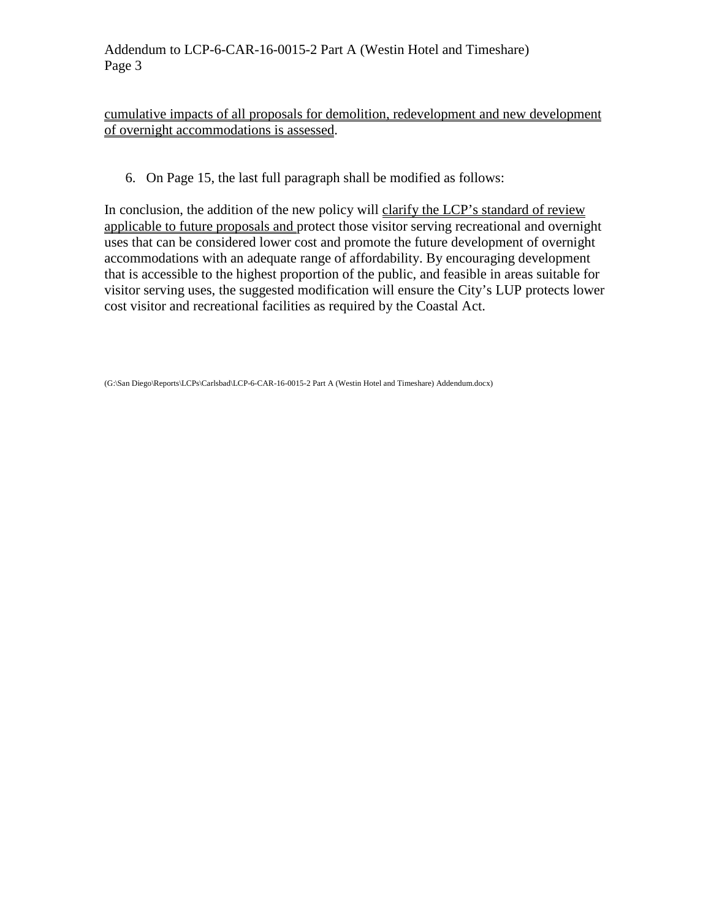#### cumulative impacts of all proposals for demolition, redevelopment and new development of overnight accommodations is assessed.

6. On Page 15, the last full paragraph shall be modified as follows:

In conclusion, the addition of the new policy will clarify the LCP's standard of review applicable to future proposals and protect those visitor serving recreational and overnight uses that can be considered lower cost and promote the future development of overnight accommodations with an adequate range of affordability. By encouraging development that is accessible to the highest proportion of the public, and feasible in areas suitable for visitor serving uses, the suggested modification will ensure the City's LUP protects lower cost visitor and recreational facilities as required by the Coastal Act.

(G:\San Diego\Reports\LCPs\Carlsbad\LCP-6-CAR-16-0015-2 Part A (Westin Hotel and Timeshare) Addendum.docx)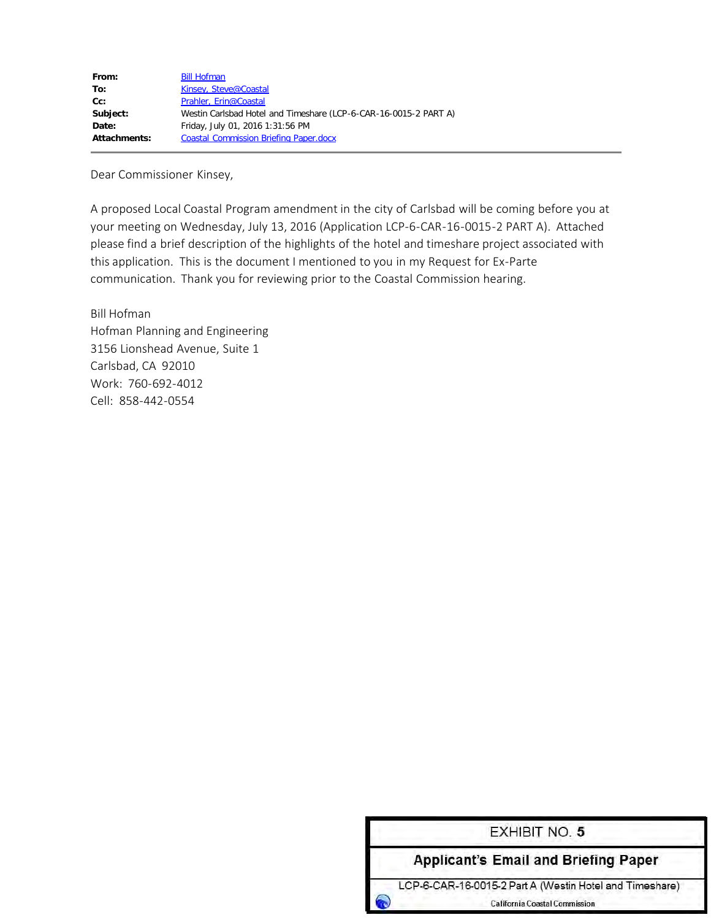| From:        | <b>Bill Hofman</b>                                               |
|--------------|------------------------------------------------------------------|
| To:          | Kinsey, Steve@Coastal                                            |
| $Cc$ :       | Prahler, Erin@Coastal                                            |
| Subject:     | Westin Carlsbad Hotel and Timeshare (LCP-6-CAR-16-0015-2 PART A) |
| Date:        | Friday, July 01, 2016 1:31:56 PM                                 |
| Attachments: | <b>Coastal Commission Briefing Paper.docx</b>                    |
|              |                                                                  |

Dear Commissioner Kinsey,

A proposed Local Coastal Program amendment in the city of Carlsbad will be coming before you at your meeting on Wednesday, July 13, 2016 (Application LCP-6-CAR-16-0015-2 PART A). Attached please find a brief description of the highlights of the hotel and timeshare project associated with this application. This is the document I mentioned to you in my Request for Ex-Parte communication. Thank you for reviewing prior to the Coastal Commission hearing.

Bill Hofman Hofman Planning and Engineering 3156 Lionshead Avenue, Suite 1 Carlsbad, CA 92010 Work: 760-692-4012 Cell: 858-442-0554

| <b>EXHIBIT NO. 5</b>                                    |
|---------------------------------------------------------|
| <b>Applicant's Email and Briefing Paper</b>             |
| LCP-6-CAR-16-0015-2 Part A (Westin Hotel and Timeshare) |
| <b>California Coastal Commission</b>                    |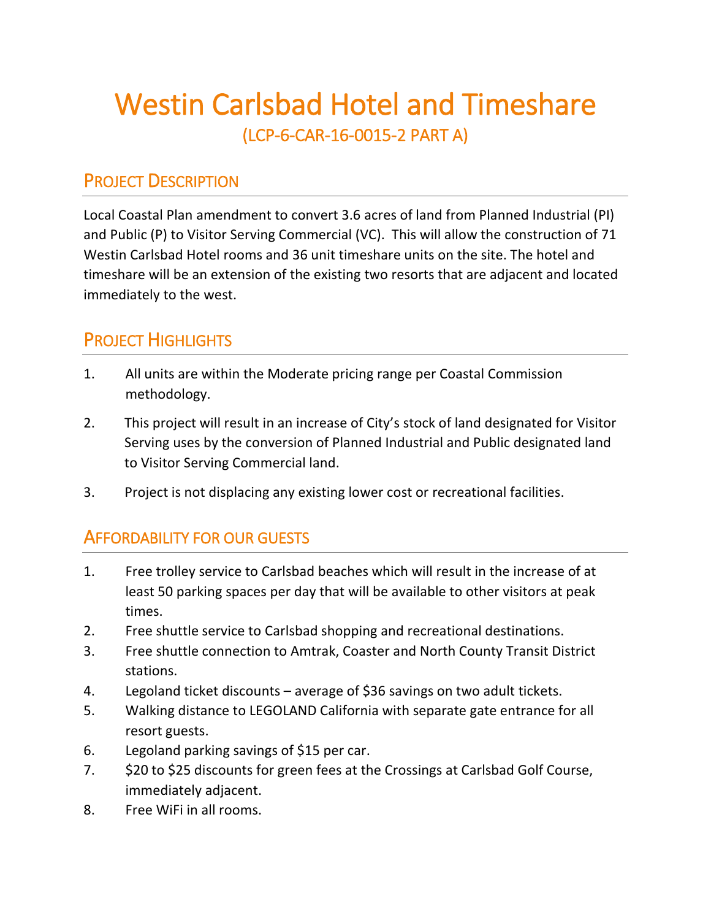# Westin Carlsbad Hotel and Timeshare<br>(LCP-6-CAR-16-0015-2 PART A)

# PROJECT DESCRIPTION

Local Coastal Plan amendment to convert 3.6 acres of land from Planned Industrial (PI) and Public (P) to Visitor Serving Commercial (VC). This will allow the construction of 71 Westin Carlsbad Hotel rooms and 36 unit timeshare units on the site. The hotel and timeshare will be an extension of the existing two resorts that are adjacent and located immediately to the west.

# PROJECT HIGHLIGHTS

- 1. All units are within the Moderate pricing range per Coastal Commission methodology.
- 2. This project will result in an increase of City's stock of land designated for Visitor Serving uses by the conversion of Planned Industrial and Public designated land to Visitor Serving Commercial land.
- 3. Project is not displacing any existing lower cost or recreational facilities.

## AFFORDABILITY FOR OUR GUESTS

- 1. Free trolley service to Carlsbad beaches which will result in the increase of at least 50 parking spaces per day that will be available to other visitors at peak times.
- 2. Free shuttle service to Carlsbad shopping and recreational destinations.
- 3. Free shuttle connection to Amtrak, Coaster and North County Transit District stations.
- 4. Legoland ticket discounts average of \$36 savings on two adult tickets.
- 5. Walking distance to LEGOLAND California with separate gate entrance for all resort guests.
- 6. Legoland parking savings of \$15 per car.
- 7. \$20 to \$25 discounts for green fees at the Crossings at Carlsbad Golf Course, immediately adjacent.
- 8. Free WiFi in all rooms.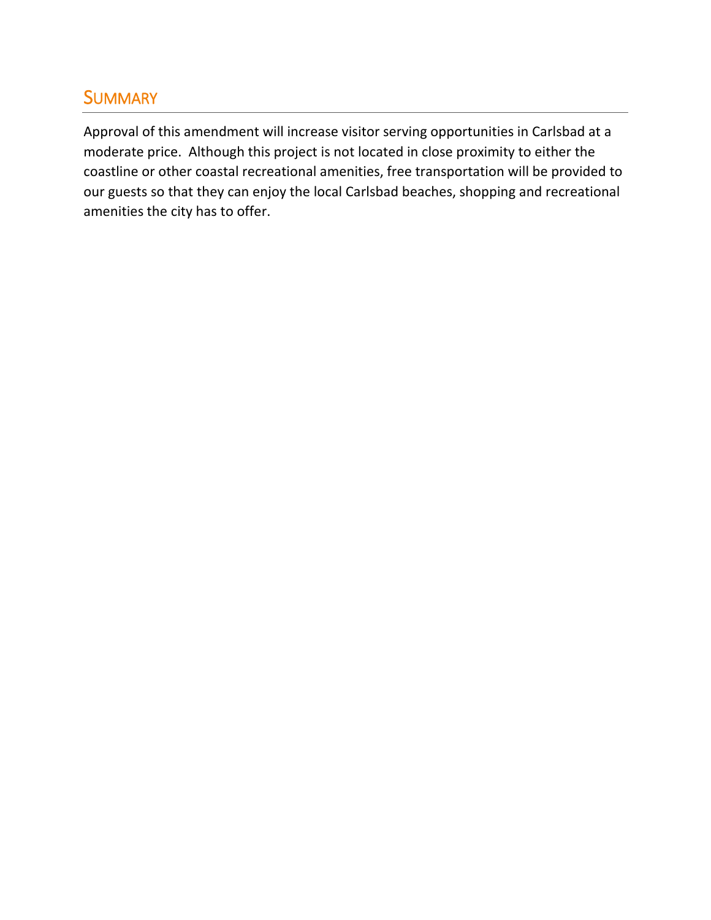# **SUMMARY**

Approval of this amendment will increase visitor serving opportunities in Carlsbad at a moderate price. Although this project is not located in close proximity to either the coastline or other coastal recreational amenities, free transportation will be provided to our guests so that they can enjoy the local Carlsbad beaches, shopping and recreational amenities the city has to offer.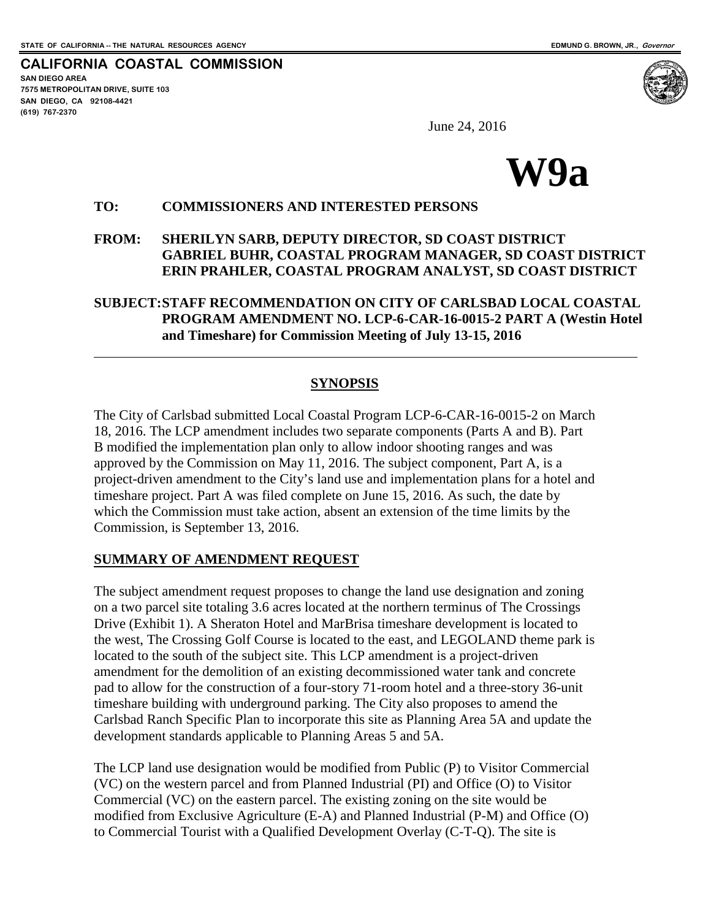<span id="page-6-0"></span>**CALIFORNIA COASTAL COMMISSION SAN DIEGO AREA 7575 METROPOLITAN DRIVE, SUITE 103 SAN DIEGO, CA 92108-4421 (619) 767-2370**

 $\overline{a}$ 



June 24, 2016



#### **TO: COMMISSIONERS AND INTERESTED PERSONS**

#### **FROM: SHERILYN SARB, DEPUTY DIRECTOR, SD COAST DISTRICT GABRIEL BUHR, COASTAL PROGRAM MANAGER, SD COAST DISTRICT ERIN PRAHLER, COASTAL PROGRAM ANALYST, SD COAST DISTRICT**

**SUBJECT:STAFF RECOMMENDATION ON CITY OF CARLSBAD LOCAL COASTAL PROGRAM AMENDMENT NO. LCP-6-CAR-16-0015-2 PART A (Westin Hotel and Timeshare) for Commission Meeting of July 13-15, 2016** 

#### **SYNOPSIS**

The City of Carlsbad submitted Local Coastal Program LCP-6-CAR-16-0015-2 on March 18, 2016. The LCP amendment includes two separate components (Parts A and B). Part B modified the implementation plan only to allow indoor shooting ranges and was approved by the Commission on May 11, 2016. The subject component, Part A, is a project-driven amendment to the City's land use and implementation plans for a hotel and timeshare project. Part A was filed complete on June 15, 2016. As such, the date by which the Commission must take action, absent an extension of the time limits by the Commission, is September 13, 2016.

#### **SUMMARY OF AMENDMENT REQUEST**

The subject amendment request proposes to change the land use designation and zoning on a two parcel site totaling 3.6 acres located at the northern terminus of The Crossings Drive (Exhibit 1). A Sheraton Hotel and MarBrisa timeshare development is located to the west, The Crossing Golf Course is located to the east, and LEGOLAND theme park is located to the south of the subject site. This LCP amendment is a project-driven amendment for the demolition of an existing decommissioned water tank and concrete pad to allow for the construction of a four-story 71-room hotel and a three-story 36-unit timeshare building with underground parking. The City also proposes to amend the Carlsbad Ranch Specific Plan to incorporate this site as Planning Area 5A and update the development standards applicable to Planning Areas 5 and 5A.

The LCP land use designation would be modified from Public (P) to Visitor Commercial (VC) on the western parcel and from Planned Industrial (PI) and Office (O) to Visitor Commercial (VC) on the eastern parcel. The existing zoning on the site would be modified from Exclusive Agriculture (E-A) and Planned Industrial (P-M) and Office (O) to Commercial Tourist with a Qualified Development Overlay (C-T-Q). The site is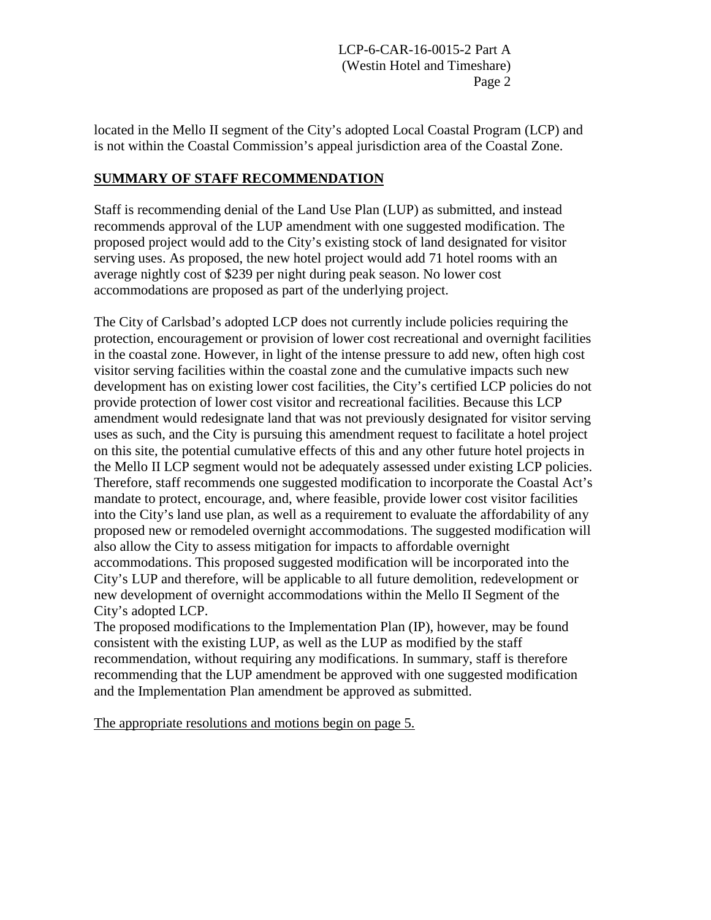located in the Mello II segment of the City's adopted Local Coastal Program (LCP) and is not within the Coastal Commission's appeal jurisdiction area of the Coastal Zone.

### **SUMMARY OF STAFF RECOMMENDATION**

Staff is recommending denial of the Land Use Plan (LUP) as submitted, and instead recommends approval of the LUP amendment with one suggested modification. The proposed project would add to the City's existing stock of land designated for visitor serving uses. As proposed, the new hotel project would add 71 hotel rooms with an average nightly cost of \$239 per night during peak season. No lower cost accommodations are proposed as part of the underlying project.

The City of Carlsbad's adopted LCP does not currently include policies requiring the protection, encouragement or provision of lower cost recreational and overnight facilities in the coastal zone. However, in light of the intense pressure to add new, often high cost visitor serving facilities within the coastal zone and the cumulative impacts such new development has on existing lower cost facilities, the City's certified LCP policies do not provide protection of lower cost visitor and recreational facilities. Because this LCP amendment would redesignate land that was not previously designated for visitor serving uses as such, and the City is pursuing this amendment request to facilitate a hotel project on this site, the potential cumulative effects of this and any other future hotel projects in the Mello II LCP segment would not be adequately assessed under existing LCP policies. Therefore, staff recommends one suggested modification to incorporate the Coastal Act's mandate to protect, encourage, and, where feasible, provide lower cost visitor facilities into the City's land use plan, as well as a requirement to evaluate the affordability of any proposed new or remodeled overnight accommodations. The suggested modification will also allow the City to assess mitigation for impacts to affordable overnight accommodations. This proposed suggested modification will be incorporated into the City's LUP and therefore, will be applicable to all future demolition, redevelopment or new development of overnight accommodations within the Mello II Segment of the City's adopted LCP.

The proposed modifications to the Implementation Plan (IP), however, may be found consistent with the existing LUP, as well as the LUP as modified by the staff recommendation, without requiring any modifications. In summary, staff is therefore recommending that the LUP amendment be approved with one suggested modification and the Implementation Plan amendment be approved as submitted.

The appropriate resolutions and motions begin on page 5.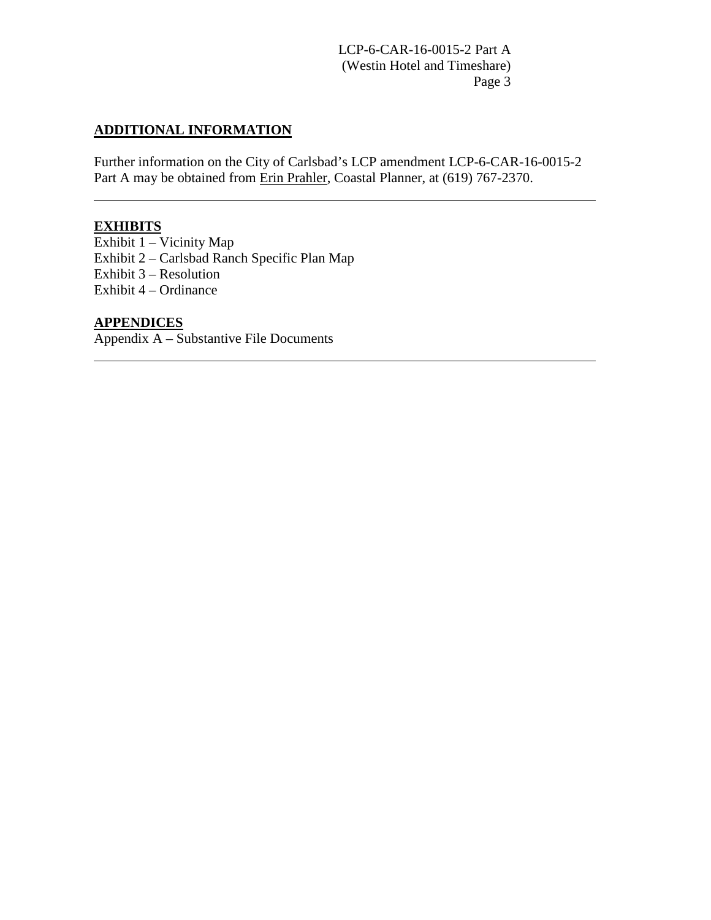#### **ADDITIONAL INFORMATION**

Further information on the City of Carlsbad's LCP amendment LCP-6-CAR-16-0015-2 Part A may be obtained from Erin Prahler, Coastal Planner, at (619) 767-2370.

## **EXHIBITS**

 $\overline{a}$ 

 $\overline{a}$ 

Exhibit  $1 -$ Vicinity Map [Exhibit 2 – Carlsbad Ranch Specific Plan Map](#page-29-0) [Exhibit 3 – Resolution](#page-30-0)  [Exhibit 4 – Ordinance](#page-35-0) 

#### **APPENDICES**

[Appendix A – Substantive File Documents](#page-27-0)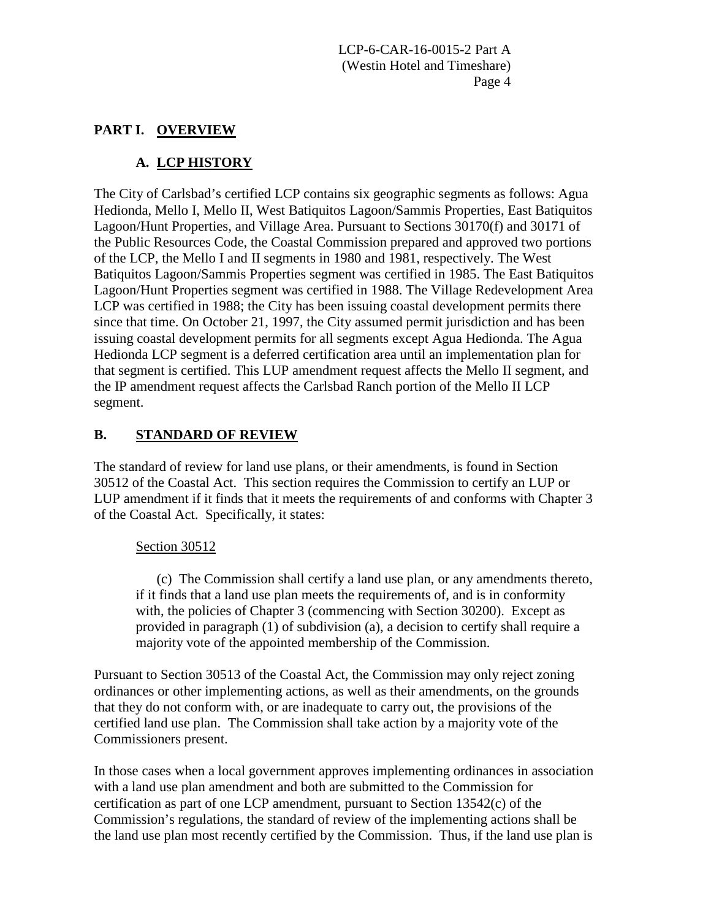#### **PART I. OVERVIEW**

## **A. LCP HISTORY**

The City of Carlsbad's certified LCP contains six geographic segments as follows: Agua Hedionda, Mello I, Mello II, West Batiquitos Lagoon/Sammis Properties, East Batiquitos Lagoon/Hunt Properties, and Village Area. Pursuant to Sections 30170(f) and 30171 of the Public Resources Code, the Coastal Commission prepared and approved two portions of the LCP, the Mello I and II segments in 1980 and 1981, respectively. The West Batiquitos Lagoon/Sammis Properties segment was certified in 1985. The East Batiquitos Lagoon/Hunt Properties segment was certified in 1988. The Village Redevelopment Area LCP was certified in 1988; the City has been issuing coastal development permits there since that time. On October 21, 1997, the City assumed permit jurisdiction and has been issuing coastal development permits for all segments except Agua Hedionda. The Agua Hedionda LCP segment is a deferred certification area until an implementation plan for that segment is certified. This LUP amendment request affects the Mello II segment, and the IP amendment request affects the Carlsbad Ranch portion of the Mello II LCP segment.

## **B. STANDARD OF REVIEW**

The standard of review for land use plans, or their amendments, is found in Section 30512 of the Coastal Act. This section requires the Commission to certify an LUP or LUP amendment if it finds that it meets the requirements of and conforms with Chapter 3 of the Coastal Act. Specifically, it states:

#### Section 30512

(c) The Commission shall certify a land use plan, or any amendments thereto, if it finds that a land use plan meets the requirements of, and is in conformity with, the policies of Chapter 3 (commencing with Section 30200). Except as provided in paragraph (1) of subdivision (a), a decision to certify shall require a majority vote of the appointed membership of the Commission.

Pursuant to Section 30513 of the Coastal Act, the Commission may only reject zoning ordinances or other implementing actions, as well as their amendments, on the grounds that they do not conform with, or are inadequate to carry out, the provisions of the certified land use plan. The Commission shall take action by a majority vote of the Commissioners present.

In those cases when a local government approves implementing ordinances in association with a land use plan amendment and both are submitted to the Commission for certification as part of one LCP amendment, pursuant to Section 13542(c) of the Commission's regulations, the standard of review of the implementing actions shall be the land use plan most recently certified by the Commission. Thus, if the land use plan is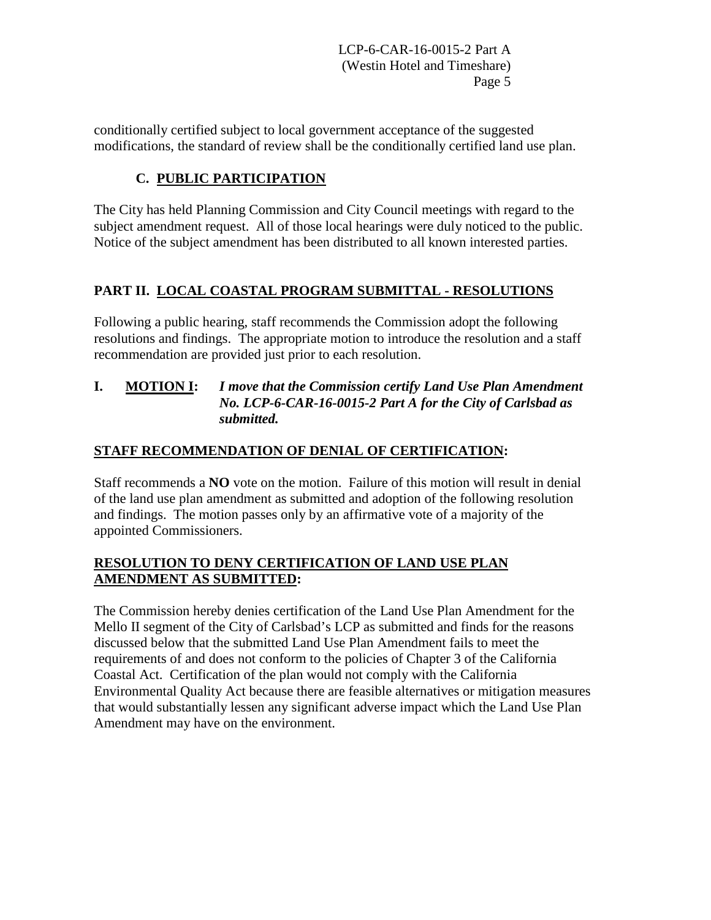conditionally certified subject to local government acceptance of the suggested modifications, the standard of review shall be the conditionally certified land use plan.

## **C. PUBLIC PARTICIPATION**

The City has held Planning Commission and City Council meetings with regard to the subject amendment request. All of those local hearings were duly noticed to the public. Notice of the subject amendment has been distributed to all known interested parties.

## **PART II. LOCAL COASTAL PROGRAM SUBMITTAL - RESOLUTIONS**

Following a public hearing, staff recommends the Commission adopt the following resolutions and findings. The appropriate motion to introduce the resolution and a staff recommendation are provided just prior to each resolution.

#### **I. MOTION I:** *I move that the Commission certify Land Use Plan Amendment No. LCP-6-CAR-16-0015-2 Part A for the City of Carlsbad as submitted.*

## **STAFF RECOMMENDATION OF DENIAL OF CERTIFICATION:**

Staff recommends a **NO** vote on the motion. Failure of this motion will result in denial of the land use plan amendment as submitted and adoption of the following resolution and findings. The motion passes only by an affirmative vote of a majority of the appointed Commissioners.

#### **RESOLUTION TO DENY CERTIFICATION OF LAND USE PLAN AMENDMENT AS SUBMITTED:**

The Commission hereby denies certification of the Land Use Plan Amendment for the Mello II segment of the City of Carlsbad's LCP as submitted and finds for the reasons discussed below that the submitted Land Use Plan Amendment fails to meet the requirements of and does not conform to the policies of Chapter 3 of the California Coastal Act. Certification of the plan would not comply with the California Environmental Quality Act because there are feasible alternatives or mitigation measures that would substantially lessen any significant adverse impact which the Land Use Plan Amendment may have on the environment.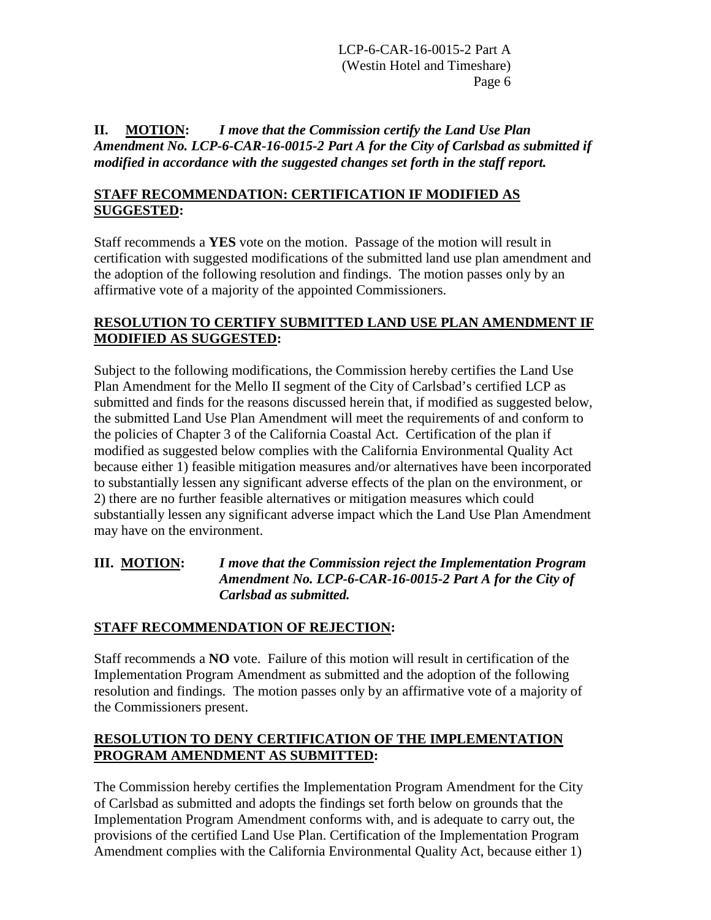**II. MOTION:** *I move that the Commission certify the Land Use Plan Amendment No. LCP-6-CAR-16-0015-2 Part A for the City of Carlsbad as submitted if modified in accordance with the suggested changes set forth in the staff report.* 

#### **STAFF RECOMMENDATION: CERTIFICATION IF MODIFIED AS SUGGESTED:**

Staff recommends a **YES** vote on the motion. Passage of the motion will result in certification with suggested modifications of the submitted land use plan amendment and the adoption of the following resolution and findings. The motion passes only by an affirmative vote of a majority of the appointed Commissioners.

#### **RESOLUTION TO CERTIFY SUBMITTED LAND USE PLAN AMENDMENT IF MODIFIED AS SUGGESTED:**

Subject to the following modifications, the Commission hereby certifies the Land Use Plan Amendment for the Mello II segment of the City of Carlsbad's certified LCP as submitted and finds for the reasons discussed herein that, if modified as suggested below, the submitted Land Use Plan Amendment will meet the requirements of and conform to the policies of Chapter 3 of the California Coastal Act. Certification of the plan if modified as suggested below complies with the California Environmental Quality Act because either 1) feasible mitigation measures and/or alternatives have been incorporated to substantially lessen any significant adverse effects of the plan on the environment, or 2) there are no further feasible alternatives or mitigation measures which could substantially lessen any significant adverse impact which the Land Use Plan Amendment may have on the environment.

**III. MOTION:** *I move that the Commission reject the Implementation Program Amendment No. LCP-6-CAR-16-0015-2 Part A for the City of Carlsbad as submitted.*

#### **STAFF RECOMMENDATION OF REJECTION:**

Staff recommends a **NO** vote. Failure of this motion will result in certification of the Implementation Program Amendment as submitted and the adoption of the following resolution and findings. The motion passes only by an affirmative vote of a majority of the Commissioners present.

#### **RESOLUTION TO DENY CERTIFICATION OF THE IMPLEMENTATION PROGRAM AMENDMENT AS SUBMITTED:**

The Commission hereby certifies the Implementation Program Amendment for the City of Carlsbad as submitted and adopts the findings set forth below on grounds that the Implementation Program Amendment conforms with, and is adequate to carry out, the provisions of the certified Land Use Plan. Certification of the Implementation Program Amendment complies with the California Environmental Quality Act, because either 1)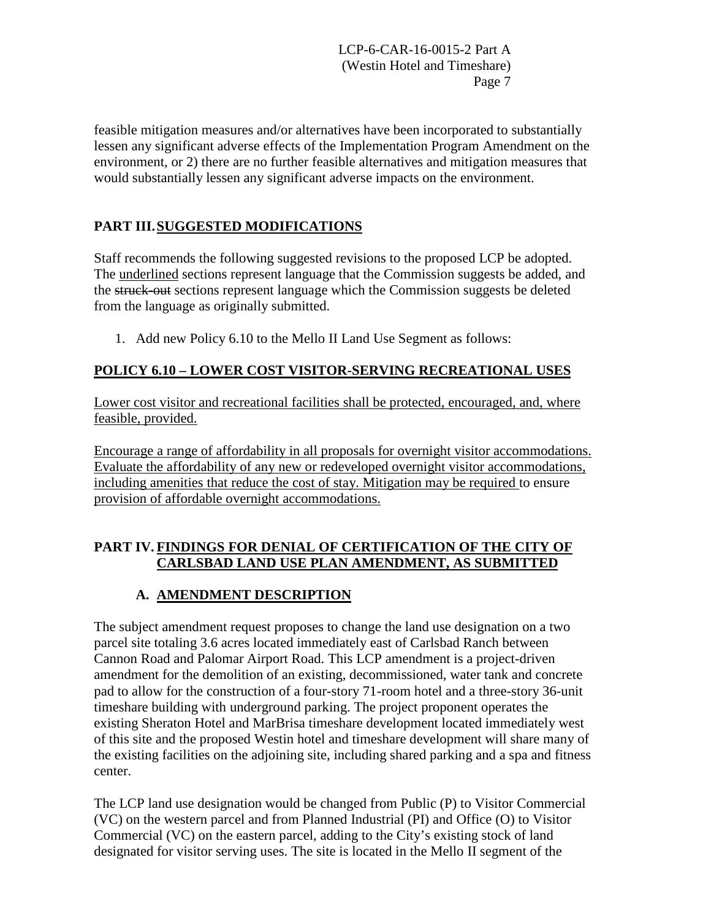feasible mitigation measures and/or alternatives have been incorporated to substantially lessen any significant adverse effects of the Implementation Program Amendment on the environment, or 2) there are no further feasible alternatives and mitigation measures that would substantially lessen any significant adverse impacts on the environment.

## **PART III.SUGGESTED MODIFICATIONS**

Staff recommends the following suggested revisions to the proposed LCP be adopted. The underlined sections represent language that the Commission suggests be added, and the struck-out sections represent language which the Commission suggests be deleted from the language as originally submitted.

1. Add new Policy 6.10 to the Mello II Land Use Segment as follows:

### **POLICY 6.10 – LOWER COST VISITOR-SERVING RECREATIONAL USES**

Lower cost visitor and recreational facilities shall be protected, encouraged, and, where feasible, provided.

Encourage a range of affordability in all proposals for overnight visitor accommodations. Evaluate the affordability of any new or redeveloped overnight visitor accommodations, including amenities that reduce the cost of stay. Mitigation may be required to ensure provision of affordable overnight accommodations.

### **PART IV. FINDINGS FOR DENIAL OF CERTIFICATION OF THE CITY OF CARLSBAD LAND USE PLAN AMENDMENT, AS SUBMITTED**

## **A. AMENDMENT DESCRIPTION**

The subject amendment request proposes to change the land use designation on a two parcel site totaling 3.6 acres located immediately east of Carlsbad Ranch between Cannon Road and Palomar Airport Road. This LCP amendment is a project-driven amendment for the demolition of an existing, decommissioned, water tank and concrete pad to allow for the construction of a four-story 71-room hotel and a three-story 36-unit timeshare building with underground parking. The project proponent operates the existing Sheraton Hotel and MarBrisa timeshare development located immediately west of this site and the proposed Westin hotel and timeshare development will share many of the existing facilities on the adjoining site, including shared parking and a spa and fitness center.

The LCP land use designation would be changed from Public (P) to Visitor Commercial (VC) on the western parcel and from Planned Industrial (PI) and Office (O) to Visitor Commercial (VC) on the eastern parcel, adding to the City's existing stock of land designated for visitor serving uses. The site is located in the Mello II segment of the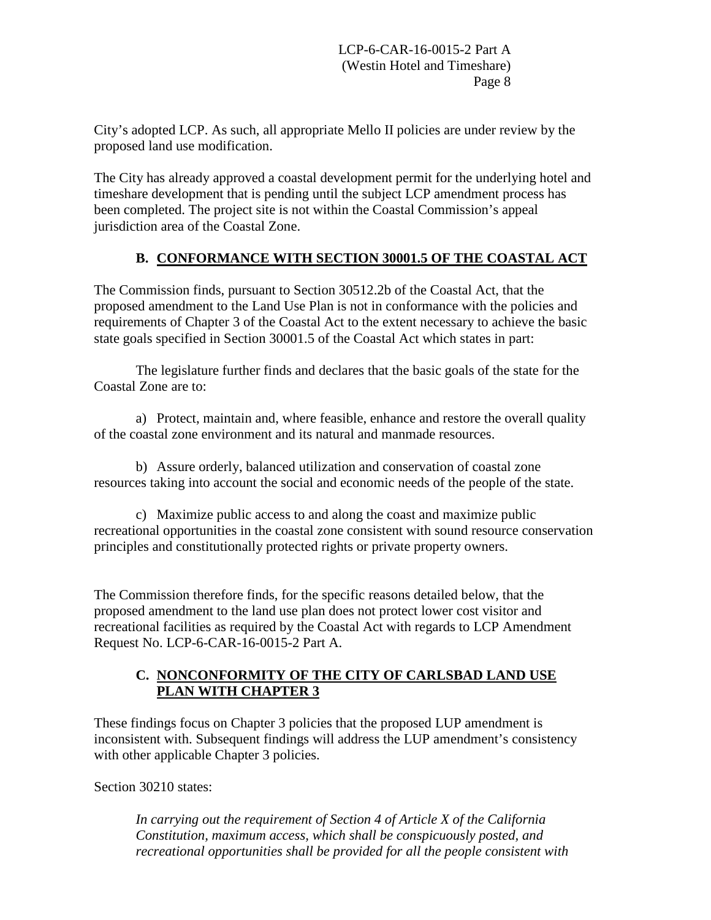City's adopted LCP. As such, all appropriate Mello II policies are under review by the proposed land use modification.

The City has already approved a coastal development permit for the underlying hotel and timeshare development that is pending until the subject LCP amendment process has been completed. The project site is not within the Coastal Commission's appeal jurisdiction area of the Coastal Zone.

## **B. CONFORMANCE WITH SECTION 30001.5 OF THE COASTAL ACT**

The Commission finds, pursuant to Section 30512.2b of the Coastal Act, that the proposed amendment to the Land Use Plan is not in conformance with the policies and requirements of Chapter 3 of the Coastal Act to the extent necessary to achieve the basic state goals specified in Section 30001.5 of the Coastal Act which states in part:

The legislature further finds and declares that the basic goals of the state for the Coastal Zone are to:

a) Protect, maintain and, where feasible, enhance and restore the overall quality of the coastal zone environment and its natural and manmade resources.

 b) Assure orderly, balanced utilization and conservation of coastal zone resources taking into account the social and economic needs of the people of the state.

c) Maximize public access to and along the coast and maximize public recreational opportunities in the coastal zone consistent with sound resource conservation principles and constitutionally protected rights or private property owners.

The Commission therefore finds, for the specific reasons detailed below, that the proposed amendment to the land use plan does not protect lower cost visitor and recreational facilities as required by the Coastal Act with regards to LCP Amendment Request No. LCP-6-CAR-16-0015-2 Part A.

### **C. NONCONFORMITY OF THE CITY OF CARLSBAD LAND USE PLAN WITH CHAPTER 3**

These findings focus on Chapter 3 policies that the proposed LUP amendment is inconsistent with. Subsequent findings will address the LUP amendment's consistency with other applicable Chapter 3 policies.

Section 30210 states:

*In carrying out the requirement of Section 4 of Article X of the California Constitution, maximum access, which shall be conspicuously posted, and recreational opportunities shall be provided for all the people consistent with*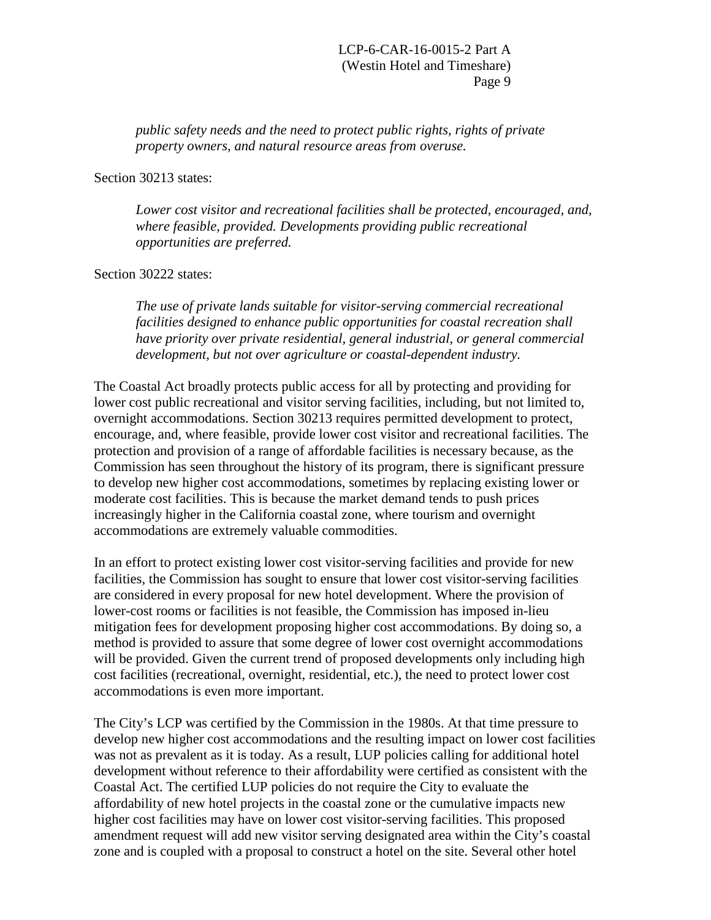*public safety needs and the need to protect public rights, rights of private property owners, and natural resource areas from overuse.* 

Section 30213 states:

*Lower cost visitor and recreational facilities shall be protected, encouraged, and, where feasible, provided. Developments providing public recreational opportunities are preferred.* 

Section 30222 states:

*The use of private lands suitable for visitor-serving commercial recreational facilities designed to enhance public opportunities for coastal recreation shall have priority over private residential, general industrial, or general commercial development, but not over agriculture or coastal-dependent industry.* 

The Coastal Act broadly protects public access for all by protecting and providing for lower cost public recreational and visitor serving facilities, including, but not limited to, overnight accommodations. Section 30213 requires permitted development to protect, encourage, and, where feasible, provide lower cost visitor and recreational facilities. The protection and provision of a range of affordable facilities is necessary because, as the Commission has seen throughout the history of its program, there is significant pressure to develop new higher cost accommodations, sometimes by replacing existing lower or moderate cost facilities. This is because the market demand tends to push prices increasingly higher in the California coastal zone, where tourism and overnight accommodations are extremely valuable commodities.

In an effort to protect existing lower cost visitor-serving facilities and provide for new facilities, the Commission has sought to ensure that lower cost visitor-serving facilities are considered in every proposal for new hotel development. Where the provision of lower-cost rooms or facilities is not feasible, the Commission has imposed in-lieu mitigation fees for development proposing higher cost accommodations. By doing so, a method is provided to assure that some degree of lower cost overnight accommodations will be provided. Given the current trend of proposed developments only including high cost facilities (recreational, overnight, residential, etc.), the need to protect lower cost accommodations is even more important.

The City's LCP was certified by the Commission in the 1980s. At that time pressure to develop new higher cost accommodations and the resulting impact on lower cost facilities was not as prevalent as it is today. As a result, LUP policies calling for additional hotel development without reference to their affordability were certified as consistent with the Coastal Act. The certified LUP policies do not require the City to evaluate the affordability of new hotel projects in the coastal zone or the cumulative impacts new higher cost facilities may have on lower cost visitor-serving facilities. This proposed amendment request will add new visitor serving designated area within the City's coastal zone and is coupled with a proposal to construct a hotel on the site. Several other hotel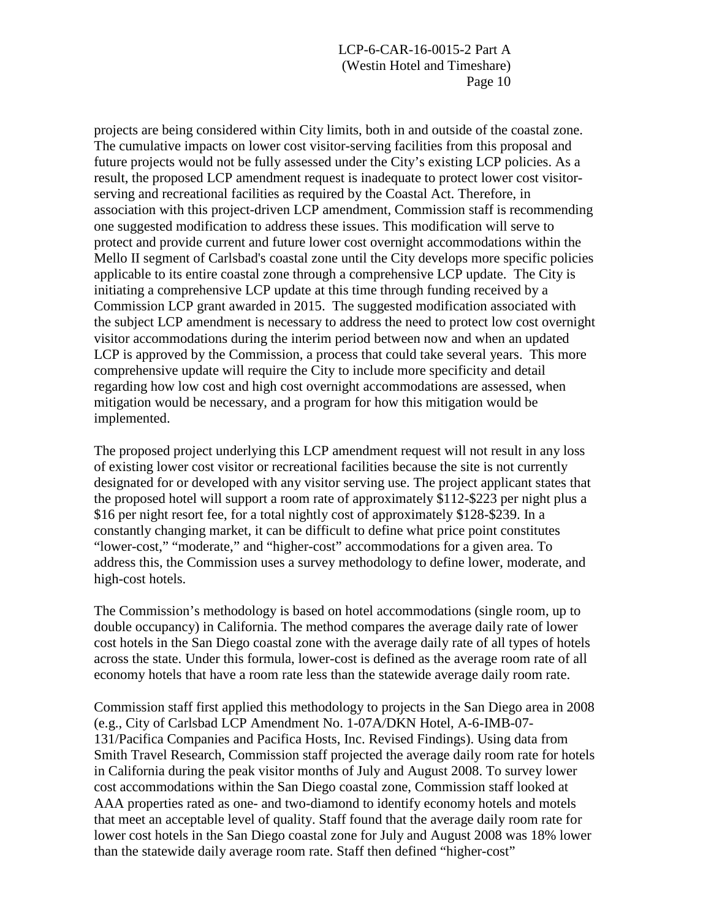projects are being considered within City limits, both in and outside of the coastal zone. The cumulative impacts on lower cost visitor-serving facilities from this proposal and future projects would not be fully assessed under the City's existing LCP policies. As a result, the proposed LCP amendment request is inadequate to protect lower cost visitorserving and recreational facilities as required by the Coastal Act. Therefore, in association with this project-driven LCP amendment, Commission staff is recommending one suggested modification to address these issues. This modification will serve to protect and provide current and future lower cost overnight accommodations within the Mello II segment of Carlsbad's coastal zone until the City develops more specific policies applicable to its entire coastal zone through a comprehensive LCP update. The City is initiating a comprehensive LCP update at this time through funding received by a Commission LCP grant awarded in 2015. The suggested modification associated with the subject LCP amendment is necessary to address the need to protect low cost overnight visitor accommodations during the interim period between now and when an updated LCP is approved by the Commission, a process that could take several years. This more comprehensive update will require the City to include more specificity and detail regarding how low cost and high cost overnight accommodations are assessed, when mitigation would be necessary, and a program for how this mitigation would be implemented.

The proposed project underlying this LCP amendment request will not result in any loss of existing lower cost visitor or recreational facilities because the site is not currently designated for or developed with any visitor serving use. The project applicant states that the proposed hotel will support a room rate of approximately \$112-\$223 per night plus a \$16 per night resort fee, for a total nightly cost of approximately \$128-\$239. In a constantly changing market, it can be difficult to define what price point constitutes "lower-cost," "moderate," and "higher-cost" accommodations for a given area. To address this, the Commission uses a survey methodology to define lower, moderate, and high-cost hotels.

The Commission's methodology is based on hotel accommodations (single room, up to double occupancy) in California. The method compares the average daily rate of lower cost hotels in the San Diego coastal zone with the average daily rate of all types of hotels across the state. Under this formula, lower-cost is defined as the average room rate of all economy hotels that have a room rate less than the statewide average daily room rate.

Commission staff first applied this methodology to projects in the San Diego area in 2008 (e.g., City of Carlsbad LCP Amendment No. 1-07A/DKN Hotel, A-6-IMB-07- 131/Pacifica Companies and Pacifica Hosts, Inc. Revised Findings). Using data from Smith Travel Research, Commission staff projected the average daily room rate for hotels in California during the peak visitor months of July and August 2008. To survey lower cost accommodations within the San Diego coastal zone, Commission staff looked at AAA properties rated as one- and two-diamond to identify economy hotels and motels that meet an acceptable level of quality. Staff found that the average daily room rate for lower cost hotels in the San Diego coastal zone for July and August 2008 was 18% lower than the statewide daily average room rate. Staff then defined "higher-cost"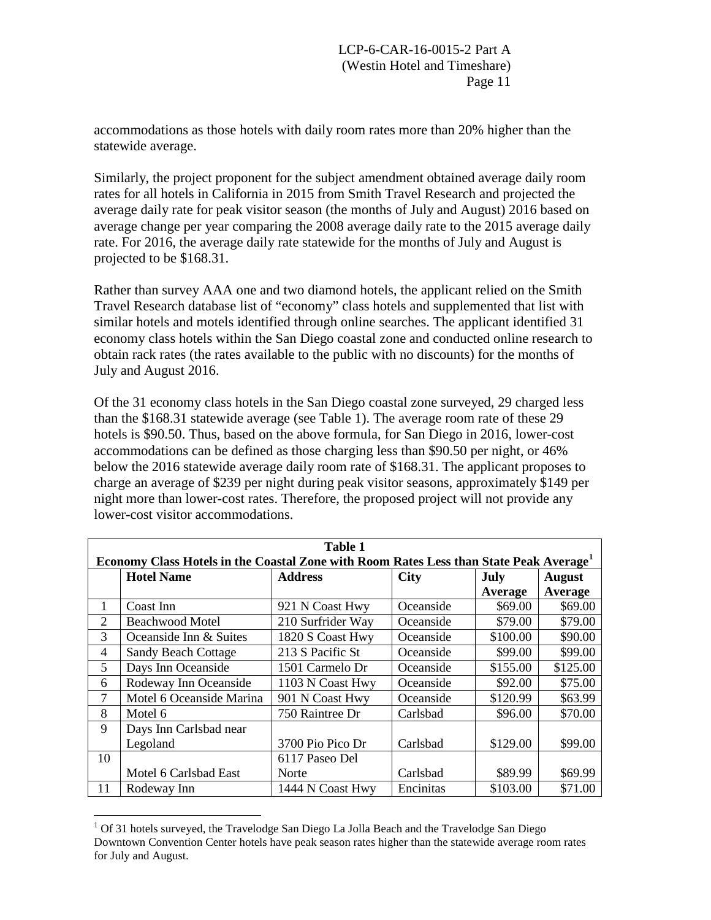accommodations as those hotels with daily room rates more than 20% higher than the statewide average.

Similarly, the project proponent for the subject amendment obtained average daily room rates for all hotels in California in 2015 from Smith Travel Research and projected the average daily rate for peak visitor season (the months of July and August) 2016 based on average change per year comparing the 2008 average daily rate to the 2015 average daily rate. For 2016, the average daily rate statewide for the months of July and August is projected to be \$168.31.

Rather than survey AAA one and two diamond hotels, the applicant relied on the Smith Travel Research database list of "economy" class hotels and supplemented that list with similar hotels and motels identified through online searches. The applicant identified 31 economy class hotels within the San Diego coastal zone and conducted online research to obtain rack rates (the rates available to the public with no discounts) for the months of July and August 2016.

Of the 31 economy class hotels in the San Diego coastal zone surveyed, 29 charged less than the \$168.31 statewide average (see Table 1). The average room rate of these 29 hotels is \$90.50. Thus, based on the above formula, for San Diego in 2016, lower-cost accommodations can be defined as those charging less than \$90.50 per night, or 46% below the 2016 statewide average daily room rate of \$168.31. The applicant proposes to charge an average of \$239 per night during peak visitor seasons, approximately \$149 per night more than lower-cost rates. Therefore, the proposed project will not provide any lower-cost visitor accommodations.

| Table 1                                                                                            |                            |                   |             |          |               |
|----------------------------------------------------------------------------------------------------|----------------------------|-------------------|-------------|----------|---------------|
| Economy Class Hotels in the Coastal Zone with Room Rates Less than State Peak Average <sup>1</sup> |                            |                   |             |          |               |
|                                                                                                    | <b>Hotel Name</b>          | <b>Address</b>    | <b>City</b> | July     | <b>August</b> |
|                                                                                                    |                            |                   |             | Average  | Average       |
| 1                                                                                                  | Coast Inn                  | 921 N Coast Hwy   | Oceanside   | \$69.00  | \$69.00       |
| 2                                                                                                  | <b>Beachwood Motel</b>     | 210 Surfrider Way | Oceanside   | \$79.00  | \$79.00       |
| 3                                                                                                  | Oceanside Inn & Suites     | 1820 S Coast Hwy  | Oceanside   | \$100.00 | \$90.00       |
| 4                                                                                                  | <b>Sandy Beach Cottage</b> | 213 S Pacific St  | Oceanside   | \$99.00  | \$99.00       |
| 5                                                                                                  | Days Inn Oceanside         | 1501 Carmelo Dr   | Oceanside   | \$155.00 | \$125.00      |
| 6                                                                                                  | Rodeway Inn Oceanside      | 1103 N Coast Hwy  | Oceanside   | \$92.00  | \$75.00       |
| $\tau$                                                                                             | Motel 6 Oceanside Marina   | 901 N Coast Hwy   | Oceanside   | \$120.99 | \$63.99       |
| 8                                                                                                  | Motel 6                    | 750 Raintree Dr   | Carlsbad    | \$96.00  | \$70.00       |
| 9                                                                                                  | Days Inn Carlsbad near     |                   |             |          |               |
|                                                                                                    | Legoland                   | 3700 Pio Pico Dr  | Carlsbad    | \$129.00 | \$99.00       |
| 10                                                                                                 |                            | 6117 Paseo Del    |             |          |               |
|                                                                                                    | Motel 6 Carlsbad East      | Norte             | Carlsbad    | \$89.99  | \$69.99       |
| 11                                                                                                 | Rodeway Inn                | 1444 N Coast Hwy  | Encinitas   | \$103.00 | \$71.00       |

<span id="page-16-0"></span> $\overline{a}$  $<sup>1</sup>$  Of 31 hotels surveyed, the Travelodge San Diego La Jolla Beach and the Travelodge San Diego</sup> Downtown Convention Center hotels have peak season rates higher than the statewide average room rates for July and August.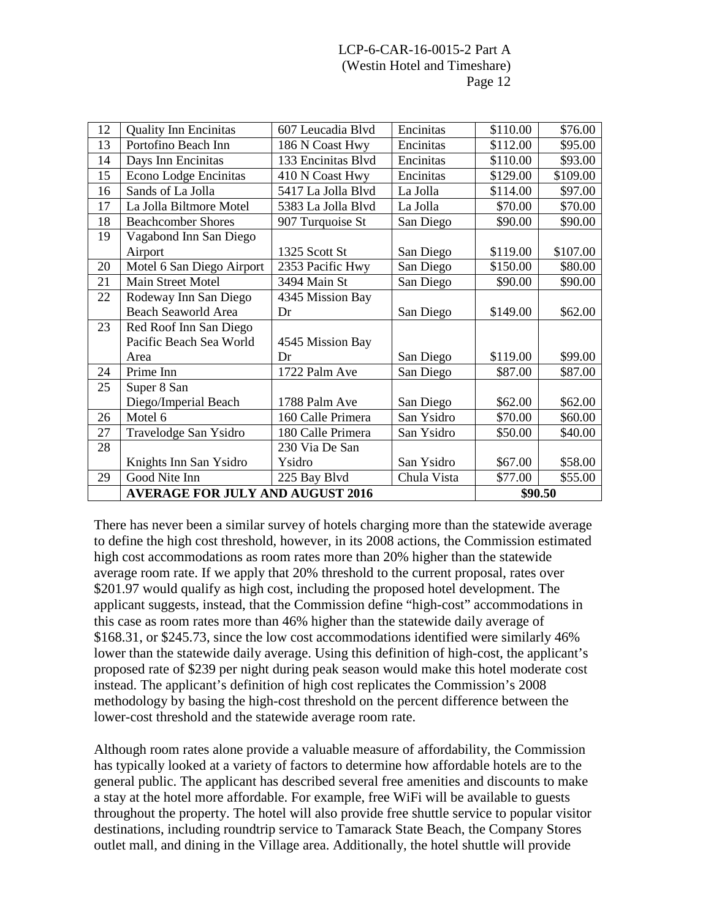| 12 | <b>Quality Inn Encinitas</b>            | 607 Leucadia Blvd  | Encinitas   | \$110.00 | \$76.00  |
|----|-----------------------------------------|--------------------|-------------|----------|----------|
| 13 | Portofino Beach Inn                     | 186 N Coast Hwy    | Encinitas   | \$112.00 | \$95.00  |
| 14 | Days Inn Encinitas                      | 133 Encinitas Blvd | Encinitas   | \$110.00 | \$93.00  |
| 15 | Econo Lodge Encinitas                   | 410 N Coast Hwy    | Encinitas   | \$129.00 | \$109.00 |
| 16 | Sands of La Jolla                       | 5417 La Jolla Blvd | La Jolla    | \$114.00 | \$97.00  |
| 17 | La Jolla Biltmore Motel                 | 5383 La Jolla Blvd | La Jolla    | \$70.00  | \$70.00  |
| 18 | <b>Beachcomber Shores</b>               | 907 Turquoise St   | San Diego   | \$90.00  | \$90.00  |
| 19 | Vagabond Inn San Diego                  |                    |             |          |          |
|    | Airport                                 | 1325 Scott St      | San Diego   | \$119.00 | \$107.00 |
| 20 | Motel 6 San Diego Airport               | 2353 Pacific Hwy   | San Diego   | \$150.00 | \$80.00  |
| 21 | Main Street Motel                       | 3494 Main St       | San Diego   | \$90.00  | \$90.00  |
| 22 | Rodeway Inn San Diego                   | 4345 Mission Bay   |             |          |          |
|    | <b>Beach Seaworld Area</b>              | Dr                 | San Diego   | \$149.00 | \$62.00  |
| 23 | Red Roof Inn San Diego                  |                    |             |          |          |
|    | Pacific Beach Sea World                 | 4545 Mission Bay   |             |          |          |
|    | Area                                    | Dr                 | San Diego   | \$119.00 | \$99.00  |
| 24 | Prime Inn                               | 1722 Palm Ave      | San Diego   | \$87.00  | \$87.00  |
| 25 | Super 8 San                             |                    |             |          |          |
|    | Diego/Imperial Beach                    | 1788 Palm Ave      | San Diego   | \$62.00  | \$62.00  |
| 26 | Motel 6                                 | 160 Calle Primera  | San Ysidro  | \$70.00  | \$60.00  |
| 27 | Travelodge San Ysidro                   | 180 Calle Primera  | San Ysidro  | \$50.00  | \$40.00  |
| 28 |                                         | 230 Via De San     |             |          |          |
|    | Knights Inn San Ysidro                  | Ysidro             | San Ysidro  | \$67.00  | \$58.00  |
| 29 | Good Nite Inn                           | 225 Bay Blvd       | Chula Vista | \$77.00  | \$55.00  |
|    | <b>AVERAGE FOR JULY AND AUGUST 2016</b> |                    |             | \$90.50  |          |

There has never been a similar survey of hotels charging more than the statewide average to define the high cost threshold, however, in its 2008 actions, the Commission estimated high cost accommodations as room rates more than 20% higher than the statewide average room rate. If we apply that 20% threshold to the current proposal, rates over \$201.97 would qualify as high cost, including the proposed hotel development. The applicant suggests, instead, that the Commission define "high-cost" accommodations in this case as room rates more than 46% higher than the statewide daily average of \$168.31, or \$245.73, since the low cost accommodations identified were similarly 46% lower than the statewide daily average. Using this definition of high-cost, the applicant's proposed rate of \$239 per night during peak season would make this hotel moderate cost instead. The applicant's definition of high cost replicates the Commission's 2008 methodology by basing the high-cost threshold on the percent difference between the lower-cost threshold and the statewide average room rate.

Although room rates alone provide a valuable measure of affordability, the Commission has typically looked at a variety of factors to determine how affordable hotels are to the general public. The applicant has described several free amenities and discounts to make a stay at the hotel more affordable. For example, free WiFi will be available to guests throughout the property. The hotel will also provide free shuttle service to popular visitor destinations, including roundtrip service to Tamarack State Beach, the Company Stores outlet mall, and dining in the Village area. Additionally, the hotel shuttle will provide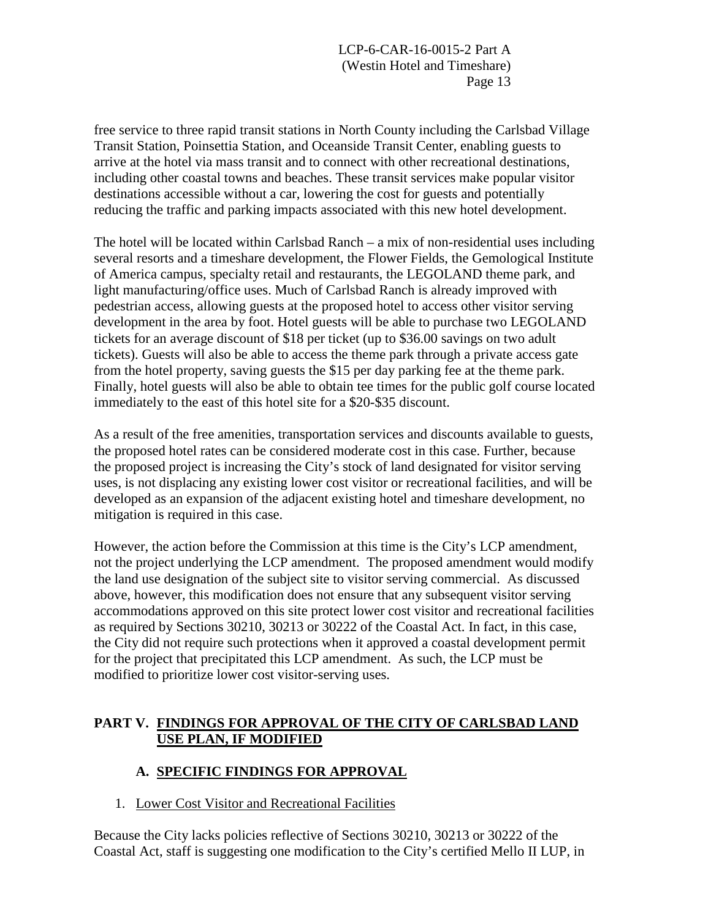free service to three rapid transit stations in North County including the Carlsbad Village Transit Station, Poinsettia Station, and Oceanside Transit Center, enabling guests to arrive at the hotel via mass transit and to connect with other recreational destinations, including other coastal towns and beaches. These transit services make popular visitor destinations accessible without a car, lowering the cost for guests and potentially reducing the traffic and parking impacts associated with this new hotel development.

The hotel will be located within Carlsbad Ranch – a mix of non-residential uses including several resorts and a timeshare development, the Flower Fields, the Gemological Institute of America campus, specialty retail and restaurants, the LEGOLAND theme park, and light manufacturing/office uses. Much of Carlsbad Ranch is already improved with pedestrian access, allowing guests at the proposed hotel to access other visitor serving development in the area by foot. Hotel guests will be able to purchase two LEGOLAND tickets for an average discount of \$18 per ticket (up to \$36.00 savings on two adult tickets). Guests will also be able to access the theme park through a private access gate from the hotel property, saving guests the \$15 per day parking fee at the theme park. Finally, hotel guests will also be able to obtain tee times for the public golf course located immediately to the east of this hotel site for a \$20-\$35 discount.

As a result of the free amenities, transportation services and discounts available to guests, the proposed hotel rates can be considered moderate cost in this case. Further, because the proposed project is increasing the City's stock of land designated for visitor serving uses, is not displacing any existing lower cost visitor or recreational facilities, and will be developed as an expansion of the adjacent existing hotel and timeshare development, no mitigation is required in this case.

However, the action before the Commission at this time is the City's LCP amendment, not the project underlying the LCP amendment. The proposed amendment would modify the land use designation of the subject site to visitor serving commercial. As discussed above, however, this modification does not ensure that any subsequent visitor serving accommodations approved on this site protect lower cost visitor and recreational facilities as required by Sections 30210, 30213 or 30222 of the Coastal Act. In fact, in this case, the City did not require such protections when it approved a coastal development permit for the project that precipitated this LCP amendment. As such, the LCP must be modified to prioritize lower cost visitor-serving uses.

#### **PART V. FINDINGS FOR APPROVAL OF THE CITY OF CARLSBAD LAND USE PLAN, IF MODIFIED**

## **A. SPECIFIC FINDINGS FOR APPROVAL**

1. Lower Cost Visitor and Recreational Facilities

Because the City lacks policies reflective of Sections 30210, 30213 or 30222 of the Coastal Act, staff is suggesting one modification to the City's certified Mello II LUP, in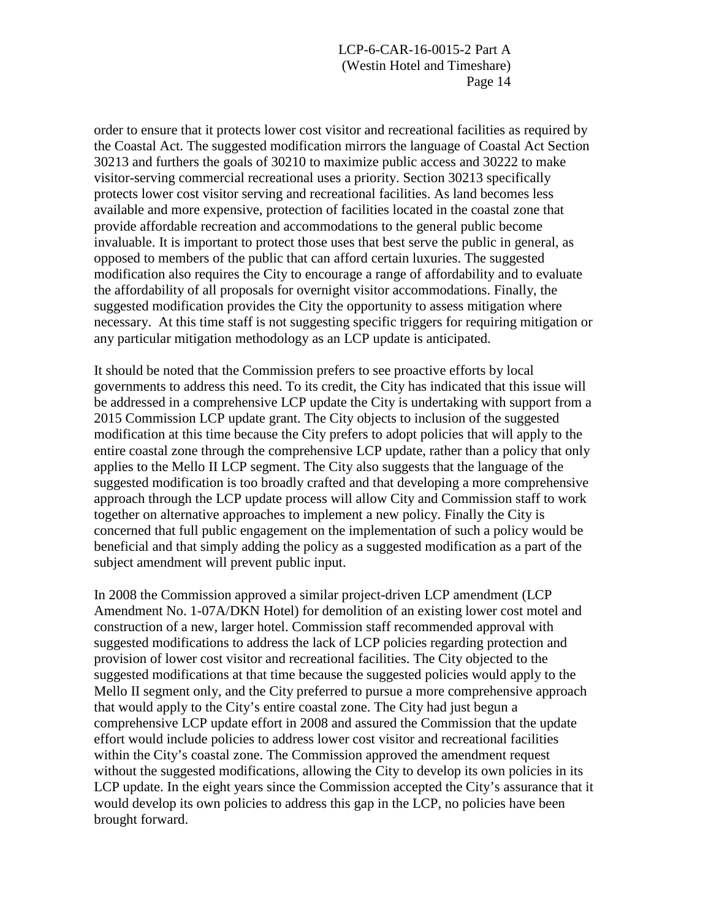order to ensure that it protects lower cost visitor and recreational facilities as required by the Coastal Act. The suggested modification mirrors the language of Coastal Act Section 30213 and furthers the goals of 30210 to maximize public access and 30222 to make visitor-serving commercial recreational uses a priority. Section 30213 specifically protects lower cost visitor serving and recreational facilities. As land becomes less available and more expensive, protection of facilities located in the coastal zone that provide affordable recreation and accommodations to the general public become invaluable. It is important to protect those uses that best serve the public in general, as opposed to members of the public that can afford certain luxuries. The suggested modification also requires the City to encourage a range of affordability and to evaluate the affordability of all proposals for overnight visitor accommodations. Finally, the suggested modification provides the City the opportunity to assess mitigation where necessary. At this time staff is not suggesting specific triggers for requiring mitigation or any particular mitigation methodology as an LCP update is anticipated.

It should be noted that the Commission prefers to see proactive efforts by local governments to address this need. To its credit, the City has indicated that this issue will be addressed in a comprehensive LCP update the City is undertaking with support from a 2015 Commission LCP update grant. The City objects to inclusion of the suggested modification at this time because the City prefers to adopt policies that will apply to the entire coastal zone through the comprehensive LCP update, rather than a policy that only applies to the Mello II LCP segment. The City also suggests that the language of the suggested modification is too broadly crafted and that developing a more comprehensive approach through the LCP update process will allow City and Commission staff to work together on alternative approaches to implement a new policy. Finally the City is concerned that full public engagement on the implementation of such a policy would be beneficial and that simply adding the policy as a suggested modification as a part of the subject amendment will prevent public input.

In 2008 the Commission approved a similar project-driven LCP amendment (LCP Amendment No. 1-07A/DKN Hotel) for demolition of an existing lower cost motel and construction of a new, larger hotel. Commission staff recommended approval with suggested modifications to address the lack of LCP policies regarding protection and provision of lower cost visitor and recreational facilities. The City objected to the suggested modifications at that time because the suggested policies would apply to the Mello II segment only, and the City preferred to pursue a more comprehensive approach that would apply to the City's entire coastal zone. The City had just begun a comprehensive LCP update effort in 2008 and assured the Commission that the update effort would include policies to address lower cost visitor and recreational facilities within the City's coastal zone. The Commission approved the amendment request without the suggested modifications, allowing the City to develop its own policies in its LCP update. In the eight years since the Commission accepted the City's assurance that it would develop its own policies to address this gap in the LCP, no policies have been brought forward.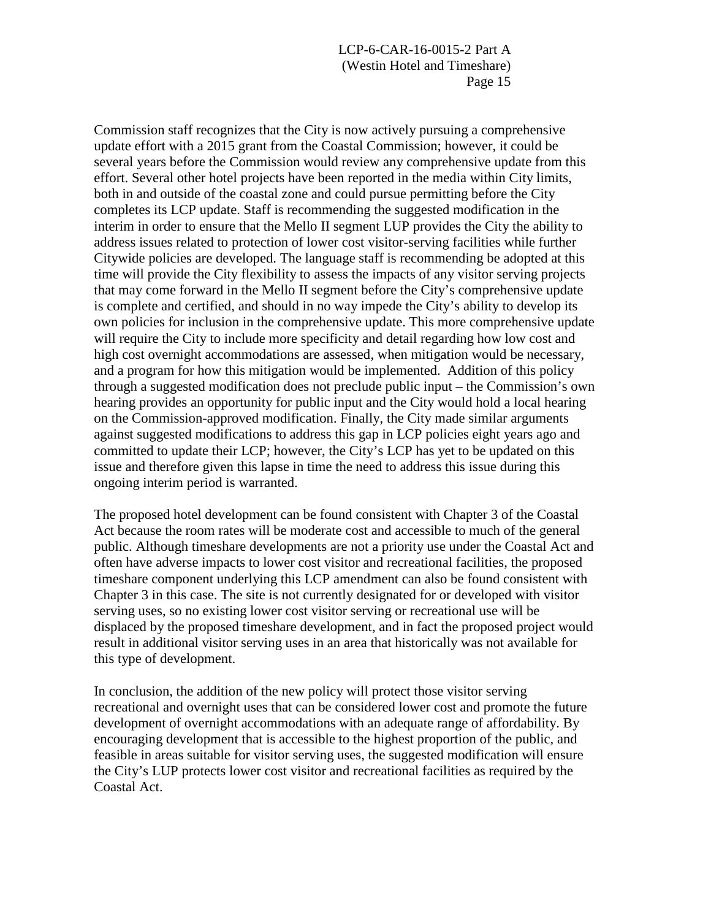Commission staff recognizes that the City is now actively pursuing a comprehensive update effort with a 2015 grant from the Coastal Commission; however, it could be several years before the Commission would review any comprehensive update from this effort. Several other hotel projects have been reported in the media within City limits, both in and outside of the coastal zone and could pursue permitting before the City completes its LCP update. Staff is recommending the suggested modification in the interim in order to ensure that the Mello II segment LUP provides the City the ability to address issues related to protection of lower cost visitor-serving facilities while further Citywide policies are developed. The language staff is recommending be adopted at this time will provide the City flexibility to assess the impacts of any visitor serving projects that may come forward in the Mello II segment before the City's comprehensive update is complete and certified, and should in no way impede the City's ability to develop its own policies for inclusion in the comprehensive update. This more comprehensive update will require the City to include more specificity and detail regarding how low cost and high cost overnight accommodations are assessed, when mitigation would be necessary, and a program for how this mitigation would be implemented. Addition of this policy through a suggested modification does not preclude public input – the Commission's own hearing provides an opportunity for public input and the City would hold a local hearing on the Commission-approved modification. Finally, the City made similar arguments against suggested modifications to address this gap in LCP policies eight years ago and committed to update their LCP; however, the City's LCP has yet to be updated on this issue and therefore given this lapse in time the need to address this issue during this ongoing interim period is warranted.

The proposed hotel development can be found consistent with Chapter 3 of the Coastal Act because the room rates will be moderate cost and accessible to much of the general public. Although timeshare developments are not a priority use under the Coastal Act and often have adverse impacts to lower cost visitor and recreational facilities, the proposed timeshare component underlying this LCP amendment can also be found consistent with Chapter 3 in this case. The site is not currently designated for or developed with visitor serving uses, so no existing lower cost visitor serving or recreational use will be displaced by the proposed timeshare development, and in fact the proposed project would result in additional visitor serving uses in an area that historically was not available for this type of development.

In conclusion, the addition of the new policy will protect those visitor serving recreational and overnight uses that can be considered lower cost and promote the future development of overnight accommodations with an adequate range of affordability. By encouraging development that is accessible to the highest proportion of the public, and feasible in areas suitable for visitor serving uses, the suggested modification will ensure the City's LUP protects lower cost visitor and recreational facilities as required by the Coastal Act.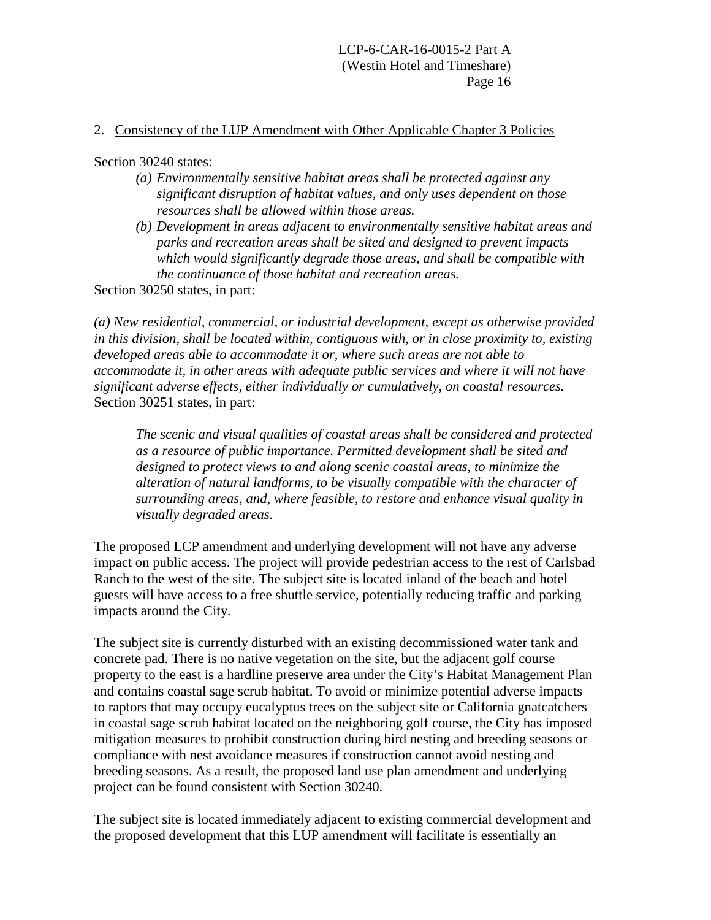#### 2. Consistency of the LUP Amendment with Other Applicable Chapter 3 Policies

Section 30240 states:

- *(a) Environmentally sensitive habitat areas shall be protected against any significant disruption of habitat values, and only uses dependent on those resources shall be allowed within those areas.*
- *(b) Development in areas adjacent to environmentally sensitive habitat areas and parks and recreation areas shall be sited and designed to prevent impacts which would significantly degrade those areas, and shall be compatible with the continuance of those habitat and recreation areas.*

Section 30250 states, in part:

*(a) New residential, commercial, or industrial development, except as otherwise provided in this division, shall be located within, contiguous with, or in close proximity to, existing developed areas able to accommodate it or, where such areas are not able to accommodate it, in other areas with adequate public services and where it will not have significant adverse effects, either individually or cumulatively, on coastal resources.*  Section 30251 states, in part:

*The scenic and visual qualities of coastal areas shall be considered and protected as a resource of public importance. Permitted development shall be sited and designed to protect views to and along scenic coastal areas, to minimize the alteration of natural landforms, to be visually compatible with the character of surrounding areas, and, where feasible, to restore and enhance visual quality in visually degraded areas.* 

The proposed LCP amendment and underlying development will not have any adverse impact on public access. The project will provide pedestrian access to the rest of Carlsbad Ranch to the west of the site. The subject site is located inland of the beach and hotel guests will have access to a free shuttle service, potentially reducing traffic and parking impacts around the City.

The subject site is currently disturbed with an existing decommissioned water tank and concrete pad. There is no native vegetation on the site, but the adjacent golf course property to the east is a hardline preserve area under the City's Habitat Management Plan and contains coastal sage scrub habitat. To avoid or minimize potential adverse impacts to raptors that may occupy eucalyptus trees on the subject site or California gnatcatchers in coastal sage scrub habitat located on the neighboring golf course, the City has imposed mitigation measures to prohibit construction during bird nesting and breeding seasons or compliance with nest avoidance measures if construction cannot avoid nesting and breeding seasons. As a result, the proposed land use plan amendment and underlying project can be found consistent with Section 30240.

The subject site is located immediately adjacent to existing commercial development and the proposed development that this LUP amendment will facilitate is essentially an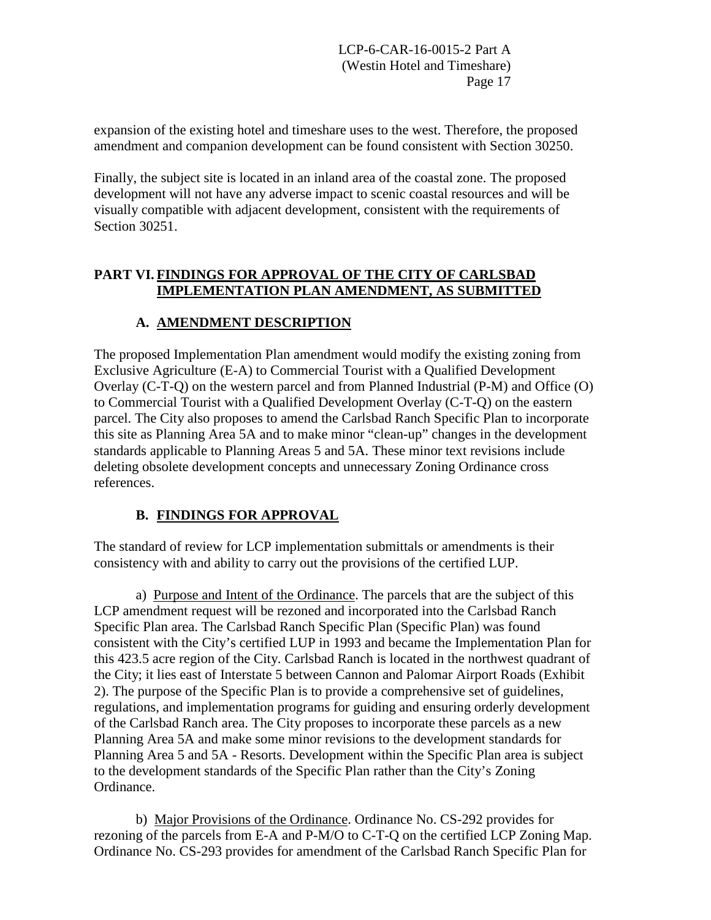expansion of the existing hotel and timeshare uses to the west. Therefore, the proposed amendment and companion development can be found consistent with Section 30250.

Finally, the subject site is located in an inland area of the coastal zone. The proposed development will not have any adverse impact to scenic coastal resources and will be visually compatible with adjacent development, consistent with the requirements of Section 30251.

### **PART VI. FINDINGS FOR APPROVAL OF THE CITY OF CARLSBAD IMPLEMENTATION PLAN AMENDMENT, AS SUBMITTED**

## **A. AMENDMENT DESCRIPTION**

The proposed Implementation Plan amendment would modify the existing zoning from Exclusive Agriculture (E-A) to Commercial Tourist with a Qualified Development Overlay (C-T-Q) on the western parcel and from Planned Industrial (P-M) and Office (O) to Commercial Tourist with a Qualified Development Overlay (C-T-Q) on the eastern parcel. The City also proposes to amend the Carlsbad Ranch Specific Plan to incorporate this site as Planning Area 5A and to make minor "clean-up" changes in the development standards applicable to Planning Areas 5 and 5A. These minor text revisions include deleting obsolete development concepts and unnecessary Zoning Ordinance cross references.

## **B. FINDINGS FOR APPROVAL**

The standard of review for LCP implementation submittals or amendments is their consistency with and ability to carry out the provisions of the certified LUP.

a) Purpose and Intent of the Ordinance. The parcels that are the subject of this LCP amendment request will be rezoned and incorporated into the Carlsbad Ranch Specific Plan area. The Carlsbad Ranch Specific Plan (Specific Plan) was found consistent with the City's certified LUP in 1993 and became the Implementation Plan for this 423.5 acre region of the City. Carlsbad Ranch is located in the northwest quadrant of the City; it lies east of Interstate 5 between Cannon and Palomar Airport Roads (Exhibit 2). The purpose of the Specific Plan is to provide a comprehensive set of guidelines, regulations, and implementation programs for guiding and ensuring orderly development of the Carlsbad Ranch area. The City proposes to incorporate these parcels as a new Planning Area 5A and make some minor revisions to the development standards for Planning Area 5 and 5A - Resorts. Development within the Specific Plan area is subject to the development standards of the Specific Plan rather than the City's Zoning Ordinance.

b) Major Provisions of the Ordinance. Ordinance No. CS-292 provides for rezoning of the parcels from E-A and P-M/O to C-T-Q on the certified LCP Zoning Map. Ordinance No. CS-293 provides for amendment of the Carlsbad Ranch Specific Plan for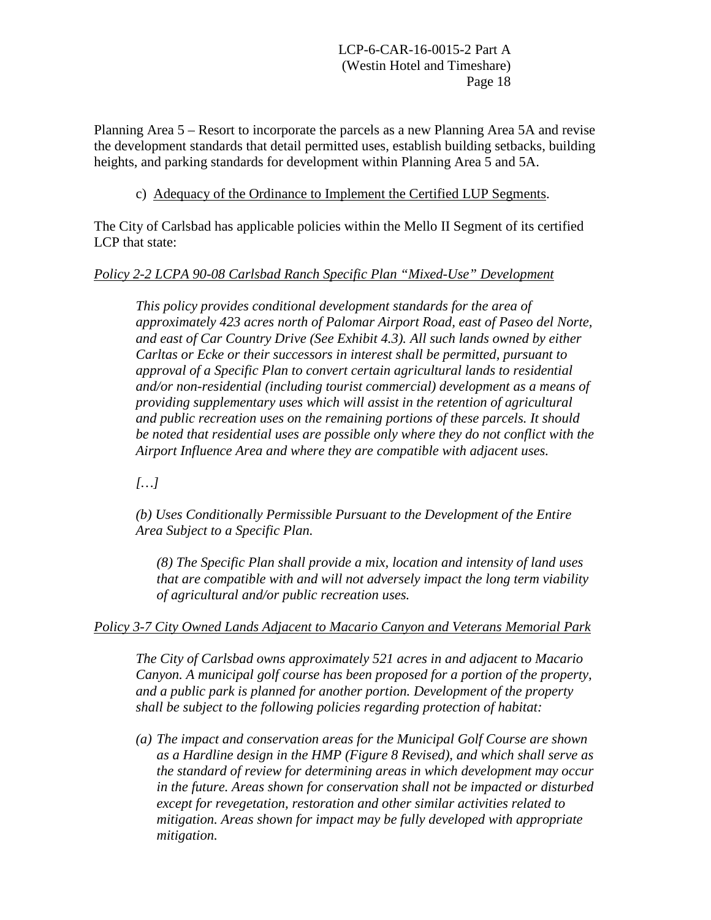Planning Area 5 – Resort to incorporate the parcels as a new Planning Area 5A and revise the development standards that detail permitted uses, establish building setbacks, building heights, and parking standards for development within Planning Area 5 and 5A.

#### c) Adequacy of the Ordinance to Implement the Certified LUP Segments.

The City of Carlsbad has applicable policies within the Mello II Segment of its certified LCP that state:

#### *Policy 2-2 LCPA 90-08 Carlsbad Ranch Specific Plan "Mixed-Use" Development*

*This policy provides conditional development standards for the area of approximately 423 acres north of Palomar Airport Road, east of Paseo del Norte, and east of Car Country Drive (See Exhibit 4.3). All such lands owned by either Carltas or Ecke or their successors in interest shall be permitted, pursuant to approval of a Specific Plan to convert certain agricultural lands to residential and/or non-residential (including tourist commercial) development as a means of providing supplementary uses which will assist in the retention of agricultural and public recreation uses on the remaining portions of these parcels. It should be noted that residential uses are possible only where they do not conflict with the Airport Influence Area and where they are compatible with adjacent uses.* 

*[…]*

*(b) Uses Conditionally Permissible Pursuant to the Development of the Entire Area Subject to a Specific Plan.* 

*(8) The Specific Plan shall provide a mix, location and intensity of land uses that are compatible with and will not adversely impact the long term viability of agricultural and/or public recreation uses.* 

#### *Policy 3-7 City Owned Lands Adjacent to Macario Canyon and Veterans Memorial Park*

*The City of Carlsbad owns approximately 521 acres in and adjacent to Macario Canyon. A municipal golf course has been proposed for a portion of the property, and a public park is planned for another portion. Development of the property shall be subject to the following policies regarding protection of habitat:* 

*(a) The impact and conservation areas for the Municipal Golf Course are shown as a Hardline design in the HMP (Figure 8 Revised), and which shall serve as the standard of review for determining areas in which development may occur in the future. Areas shown for conservation shall not be impacted or disturbed except for revegetation, restoration and other similar activities related to mitigation. Areas shown for impact may be fully developed with appropriate mitigation.*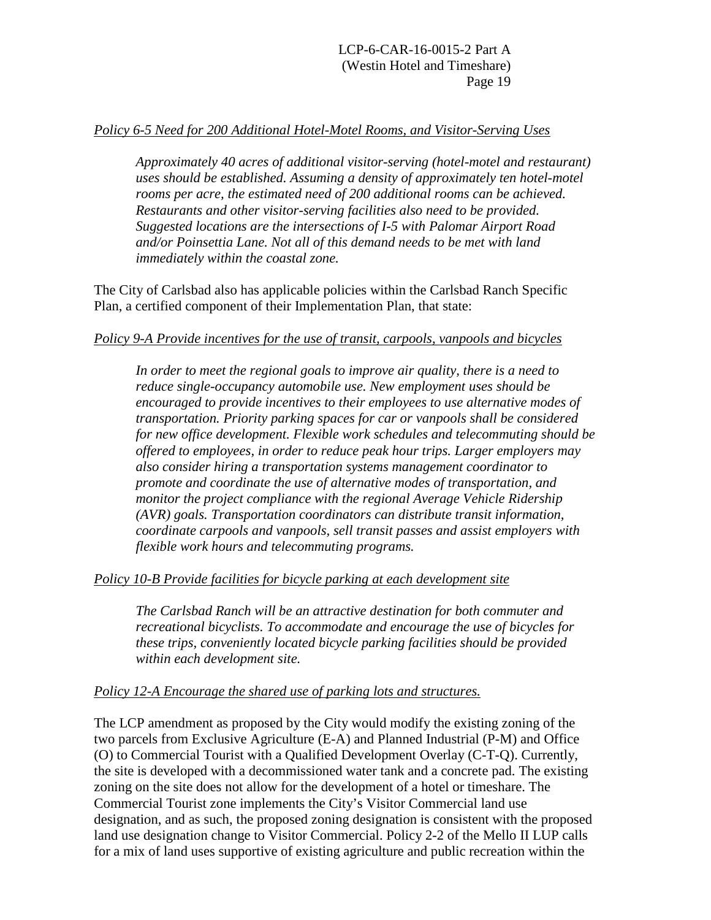#### *Policy 6-5 Need for 200 Additional Hotel-Motel Rooms, and Visitor-Serving Uses*

*Approximately 40 acres of additional visitor-serving (hotel-motel and restaurant) uses should be established. Assuming a density of approximately ten hotel-motel rooms per acre, the estimated need of 200 additional rooms can be achieved. Restaurants and other visitor-serving facilities also need to be provided. Suggested locations are the intersections of I-5 with Palomar Airport Road and/or Poinsettia Lane. Not all of this demand needs to be met with land immediately within the coastal zone.* 

The City of Carlsbad also has applicable policies within the Carlsbad Ranch Specific Plan, a certified component of their Implementation Plan, that state:

#### *Policy 9-A Provide incentives for the use of transit, carpools, vanpools and bicycles*

*In order to meet the regional goals to improve air quality, there is a need to reduce single-occupancy automobile use. New employment uses should be encouraged to provide incentives to their employees to use alternative modes of transportation. Priority parking spaces for car or vanpools shall be considered for new office development. Flexible work schedules and telecommuting should be offered to employees, in order to reduce peak hour trips. Larger employers may also consider hiring a transportation systems management coordinator to promote and coordinate the use of alternative modes of transportation, and monitor the project compliance with the regional Average Vehicle Ridership (AVR) goals. Transportation coordinators can distribute transit information, coordinate carpools and vanpools, sell transit passes and assist employers with flexible work hours and telecommuting programs.* 

#### *Policy 10-B Provide facilities for bicycle parking at each development site*

*The Carlsbad Ranch will be an attractive destination for both commuter and recreational bicyclists. To accommodate and encourage the use of bicycles for these trips, conveniently located bicycle parking facilities should be provided within each development site.* 

#### *Policy 12-A Encourage the shared use of parking lots and structures.*

The LCP amendment as proposed by the City would modify the existing zoning of the two parcels from Exclusive Agriculture (E-A) and Planned Industrial (P-M) and Office (O) to Commercial Tourist with a Qualified Development Overlay (C-T-Q). Currently, the site is developed with a decommissioned water tank and a concrete pad. The existing zoning on the site does not allow for the development of a hotel or timeshare. The Commercial Tourist zone implements the City's Visitor Commercial land use designation, and as such, the proposed zoning designation is consistent with the proposed land use designation change to Visitor Commercial. Policy 2-2 of the Mello II LUP calls for a mix of land uses supportive of existing agriculture and public recreation within the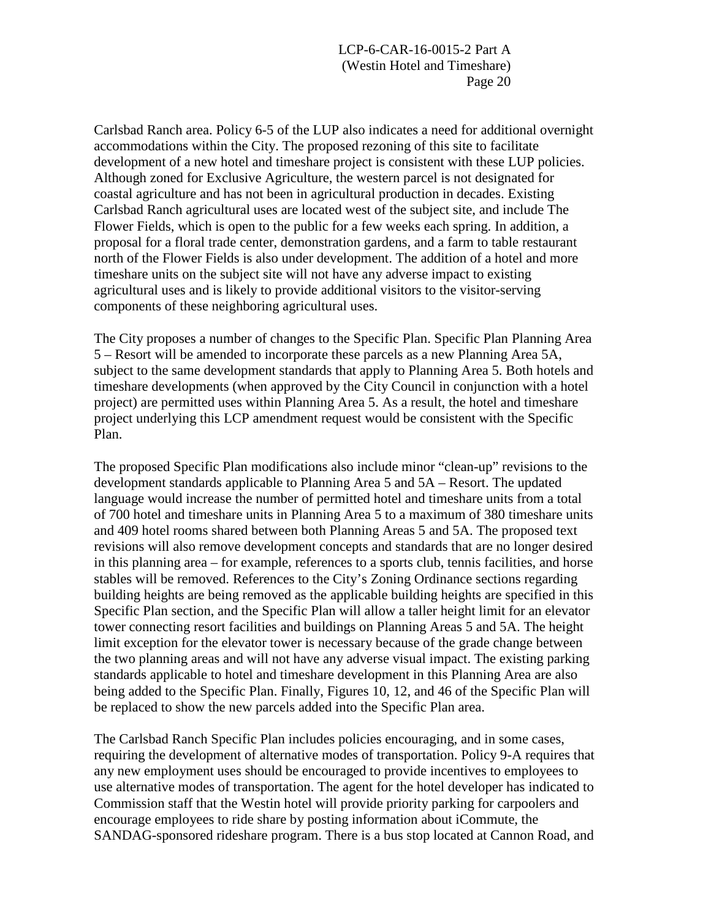Carlsbad Ranch area. Policy 6-5 of the LUP also indicates a need for additional overnight accommodations within the City. The proposed rezoning of this site to facilitate development of a new hotel and timeshare project is consistent with these LUP policies. Although zoned for Exclusive Agriculture, the western parcel is not designated for coastal agriculture and has not been in agricultural production in decades. Existing Carlsbad Ranch agricultural uses are located west of the subject site, and include The Flower Fields, which is open to the public for a few weeks each spring. In addition, a proposal for a floral trade center, demonstration gardens, and a farm to table restaurant north of the Flower Fields is also under development. The addition of a hotel and more timeshare units on the subject site will not have any adverse impact to existing agricultural uses and is likely to provide additional visitors to the visitor-serving components of these neighboring agricultural uses.

The City proposes a number of changes to the Specific Plan. Specific Plan Planning Area 5 – Resort will be amended to incorporate these parcels as a new Planning Area 5A, subject to the same development standards that apply to Planning Area 5. Both hotels and timeshare developments (when approved by the City Council in conjunction with a hotel project) are permitted uses within Planning Area 5. As a result, the hotel and timeshare project underlying this LCP amendment request would be consistent with the Specific Plan.

The proposed Specific Plan modifications also include minor "clean-up" revisions to the development standards applicable to Planning Area 5 and 5A – Resort. The updated language would increase the number of permitted hotel and timeshare units from a total of 700 hotel and timeshare units in Planning Area 5 to a maximum of 380 timeshare units and 409 hotel rooms shared between both Planning Areas 5 and 5A. The proposed text revisions will also remove development concepts and standards that are no longer desired in this planning area – for example, references to a sports club, tennis facilities, and horse stables will be removed. References to the City's Zoning Ordinance sections regarding building heights are being removed as the applicable building heights are specified in this Specific Plan section, and the Specific Plan will allow a taller height limit for an elevator tower connecting resort facilities and buildings on Planning Areas 5 and 5A. The height limit exception for the elevator tower is necessary because of the grade change between the two planning areas and will not have any adverse visual impact. The existing parking standards applicable to hotel and timeshare development in this Planning Area are also being added to the Specific Plan. Finally, Figures 10, 12, and 46 of the Specific Plan will be replaced to show the new parcels added into the Specific Plan area.

The Carlsbad Ranch Specific Plan includes policies encouraging, and in some cases, requiring the development of alternative modes of transportation. Policy 9-A requires that any new employment uses should be encouraged to provide incentives to employees to use alternative modes of transportation. The agent for the hotel developer has indicated to Commission staff that the Westin hotel will provide priority parking for carpoolers and encourage employees to ride share by posting information about iCommute, the SANDAG-sponsored rideshare program. There is a bus stop located at Cannon Road, and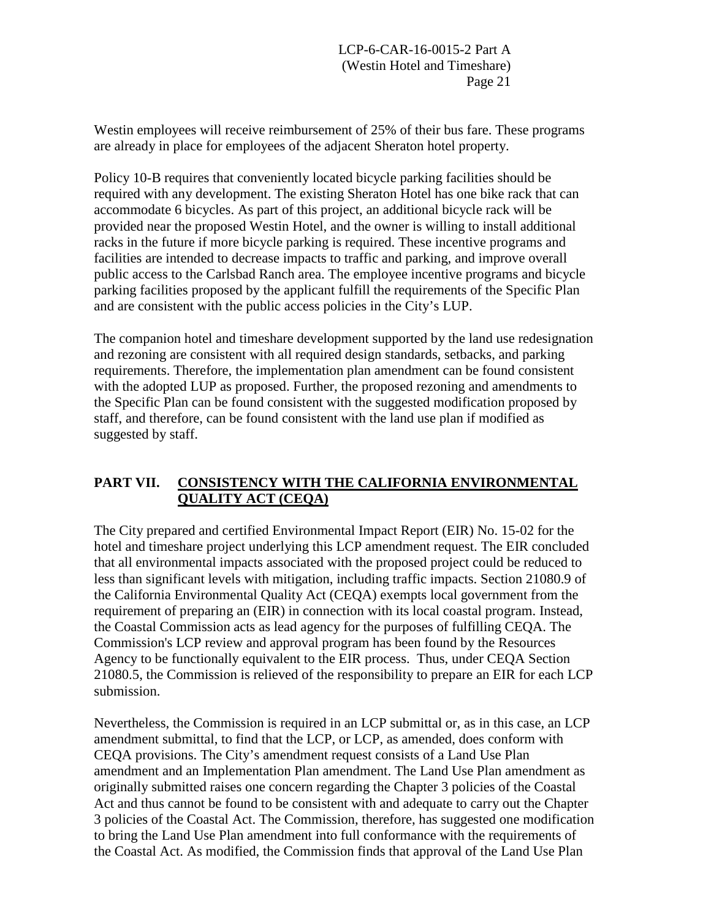Westin employees will receive reimbursement of 25% of their bus fare. These programs are already in place for employees of the adjacent Sheraton hotel property.

Policy 10-B requires that conveniently located bicycle parking facilities should be required with any development. The existing Sheraton Hotel has one bike rack that can accommodate 6 bicycles. As part of this project, an additional bicycle rack will be provided near the proposed Westin Hotel, and the owner is willing to install additional racks in the future if more bicycle parking is required. These incentive programs and facilities are intended to decrease impacts to traffic and parking, and improve overall public access to the Carlsbad Ranch area. The employee incentive programs and bicycle parking facilities proposed by the applicant fulfill the requirements of the Specific Plan and are consistent with the public access policies in the City's LUP.

The companion hotel and timeshare development supported by the land use redesignation and rezoning are consistent with all required design standards, setbacks, and parking requirements. Therefore, the implementation plan amendment can be found consistent with the adopted LUP as proposed. Further, the proposed rezoning and amendments to the Specific Plan can be found consistent with the suggested modification proposed by staff, and therefore, can be found consistent with the land use plan if modified as suggested by staff.

### **PART VII. CONSISTENCY WITH THE CALIFORNIA ENVIRONMENTAL QUALITY ACT (CEQA)**

The City prepared and certified Environmental Impact Report (EIR) No. 15-02 for the hotel and timeshare project underlying this LCP amendment request. The EIR concluded that all environmental impacts associated with the proposed project could be reduced to less than significant levels with mitigation, including traffic impacts. Section 21080.9 of the California Environmental Quality Act (CEQA) exempts local government from the requirement of preparing an (EIR) in connection with its local coastal program. Instead, the Coastal Commission acts as lead agency for the purposes of fulfilling CEQA. The Commission's LCP review and approval program has been found by the Resources Agency to be functionally equivalent to the EIR process. Thus, under CEQA Section 21080.5, the Commission is relieved of the responsibility to prepare an EIR for each LCP submission.

Nevertheless, the Commission is required in an LCP submittal or, as in this case, an LCP amendment submittal, to find that the LCP, or LCP, as amended, does conform with CEQA provisions. The City's amendment request consists of a Land Use Plan amendment and an Implementation Plan amendment. The Land Use Plan amendment as originally submitted raises one concern regarding the Chapter 3 policies of the Coastal Act and thus cannot be found to be consistent with and adequate to carry out the Chapter 3 policies of the Coastal Act. The Commission, therefore, has suggested one modification to bring the Land Use Plan amendment into full conformance with the requirements of the Coastal Act. As modified, the Commission finds that approval of the Land Use Plan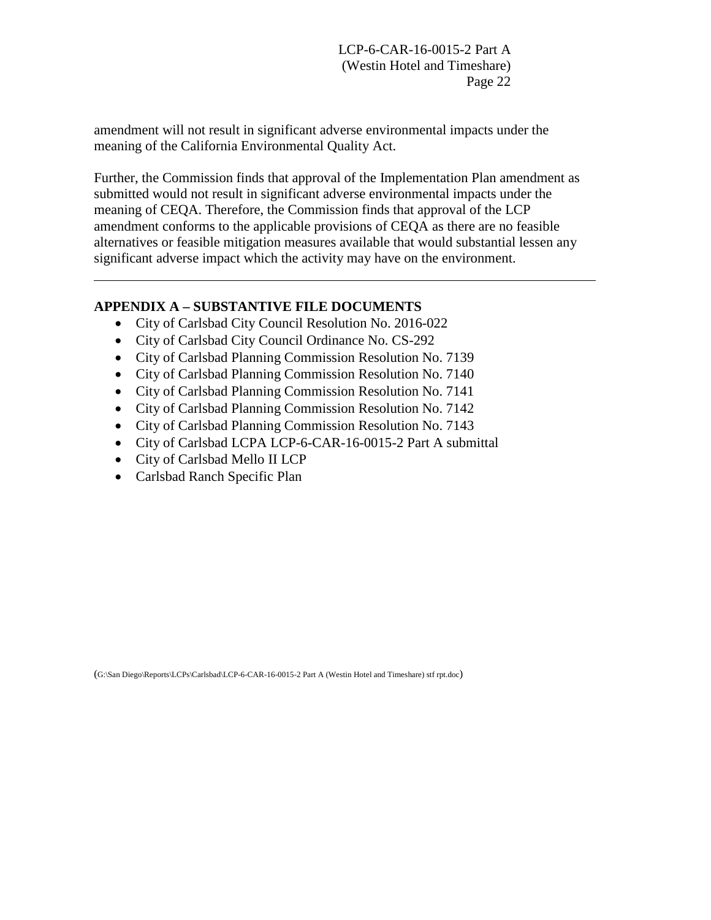<span id="page-27-0"></span>amendment will not result in significant adverse environmental impacts under the meaning of the California Environmental Quality Act.

Further, the Commission finds that approval of the Implementation Plan amendment as submitted would not result in significant adverse environmental impacts under the meaning of CEQA. Therefore, the Commission finds that approval of the LCP amendment conforms to the applicable provisions of CEQA as there are no feasible alternatives or feasible mitigation measures available that would substantial lessen any significant adverse impact which the activity may have on the environment.

#### **APPENDIX A – SUBSTANTIVE FILE DOCUMENTS**

- City of Carlsbad City Council Resolution No. 2016-022
- City of Carlsbad City Council Ordinance No. CS-292
- City of Carlsbad Planning Commission Resolution No. 7139
- City of Carlsbad Planning Commission Resolution No. 7140
- City of Carlsbad Planning Commission Resolution No. 7141
- City of Carlsbad Planning Commission Resolution No. 7142
- City of Carlsbad Planning Commission Resolution No. 7143
- City of Carlsbad LCPA LCP-6-CAR-16-0015-2 Part A submittal
- City of Carlsbad Mello II LCP

 $\overline{a}$ 

• Carlsbad Ranch Specific Plan

(G:\San Diego\Reports\LCPs\Carlsbad\LCP-6-CAR-16-0015-2 Part A (Westin Hotel and Timeshare) stf rpt.doc)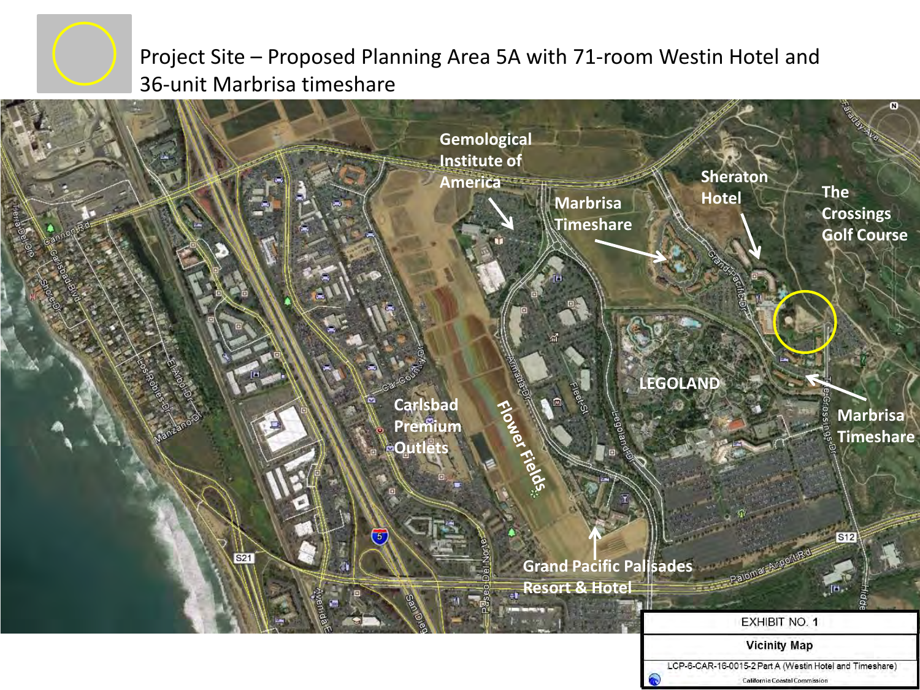<span id="page-28-0"></span>

# Project Site – Proposed Planning Area 5A with 71-room Westin Hotel and 36-unit Marbrisa timeshare



California Coastal Commission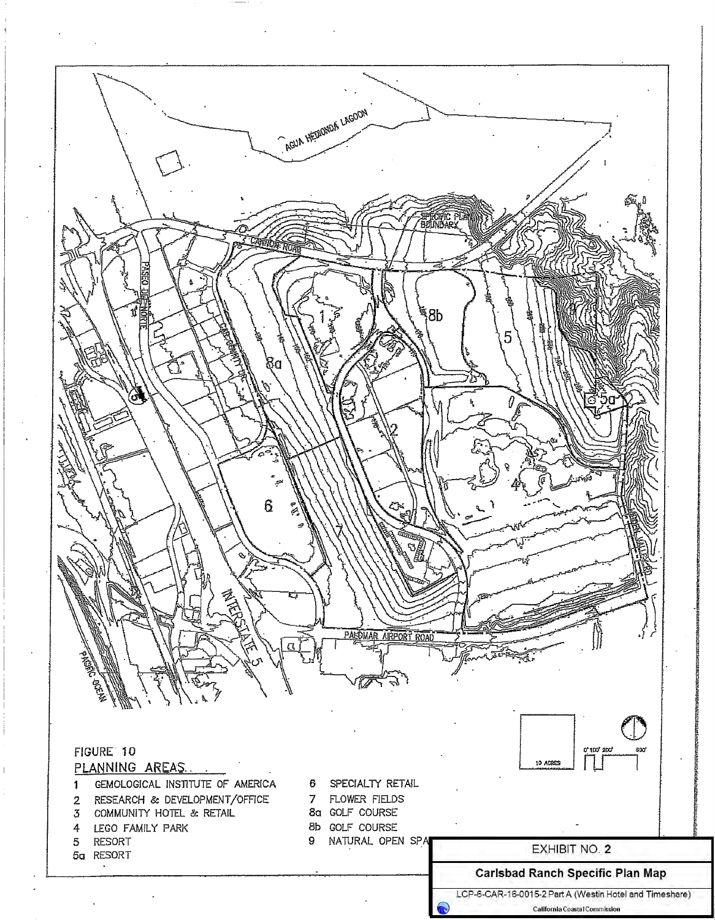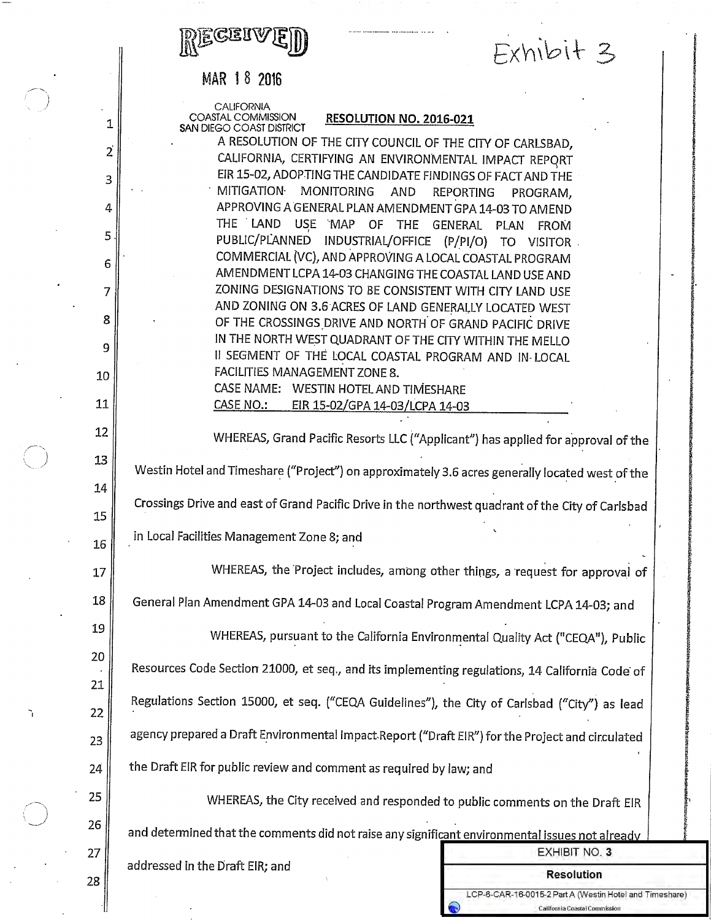#### MAR 18 2016

CALIFORNIA COASTAL COMMISSION SAN DIEGO COAST DISTRICT

1

 $\overline{2}$ 

3

4

5

6

7

8

9

10

11

12

13

14

15

16

17

18

19

20

21

22

23

24

25

26

27

#### RESOLUTION NO. 2016-021

 $Exhibit$ 

**EXHIBIT NO. 3** 

**Resolution** 

LCP-6-CAR-16-0015-2 Part A (Westin Hotel and Timeshare) California Coastal Commission

A RESOLUTION OF THE CITY COUNCIL OF THE CITY OF CARLSBAD, CALIFORNIA, CERTIFYING AN ENVIRONMENTAL IMPACT REPORT EIR 15-02, ADOP TING THE CANDIDATE FINDINGS OF FACT AND THE MITIGATION MONITORING AND **REPORTING** PROGRAM. APPROVING A GENERAL PLAN AMENDMENT GPA 14-03 TO AMEND THE LAND USE MAP OF THE GENERAL PLAN FROM PUBLIC/PLANNED INDUSTRIAL/OFFICE (P/PI/O) TO VISITOR COMMERCIAL (VC), AND APPROVING A LOCAL COASTAL PROGRAM AMENDMENT LCPA 14-03 CHANGING THE COASTAL LAND USE AND ZONING DESIGNATIONS TO BE CONSISTENT WITH CITY LAND USE AND ZONING ON 3.6 ACRES OF LAND GENERALLY LOCATED WEST OF THE CROSSINGS DRIVE AND NORTH OF GRAND PACIFIC DRIVE IN THE NORTH WEST QUADRANT OF THE CITY WITHIN THE MELLO II SEGMENT OF THE LOCAL COASTAL PROGRAM AND IN LOCAL FACILITIES MANAGEMENT ZONE 8. CASE NAME: WESTIN HOTEL AND TIMESHARE

EIR 15-02/GPA 14-03/LCPA 14-03 CASE NO.:

WHEREAS, Grand Pacific Resorts LLC ("Applicant") has applied for approval of the

Westin Hotel and Timeshare ("Project") on approximately 3.6 acres generally located west of the

Crossings Drive and east of Grand Pacific Drive in the northwest quadrant of the City of Carlsbad

in Local Facilities Management Zone 8; and

WHEREAS, the Project includes, among other things, a request for approval of

General Plan Amendment GPA 14-03 and Local Coastal Program Amendment LCPA 14-03; and

WHEREAS, pursuant to the California Environmental Quality Act ("CEQA"), Public

Resources Code Section 21000, et seq., and its implementing regulations, 14 California Code of Regulations Section 15000, et seq. ("CEQA Guidelines"), the City of Carlsbad ("City") as lead agency prepared a Draft Environmental Impact Report ("Draft EIR") for the Project and circulated the Draft EIR for public review and comment as required by law; and

WHEREAS, the City received and responded to public comments on the Draft EIR and determined that the comments did not raise any significant environmental issues not already

addressed in the Draft EIR; and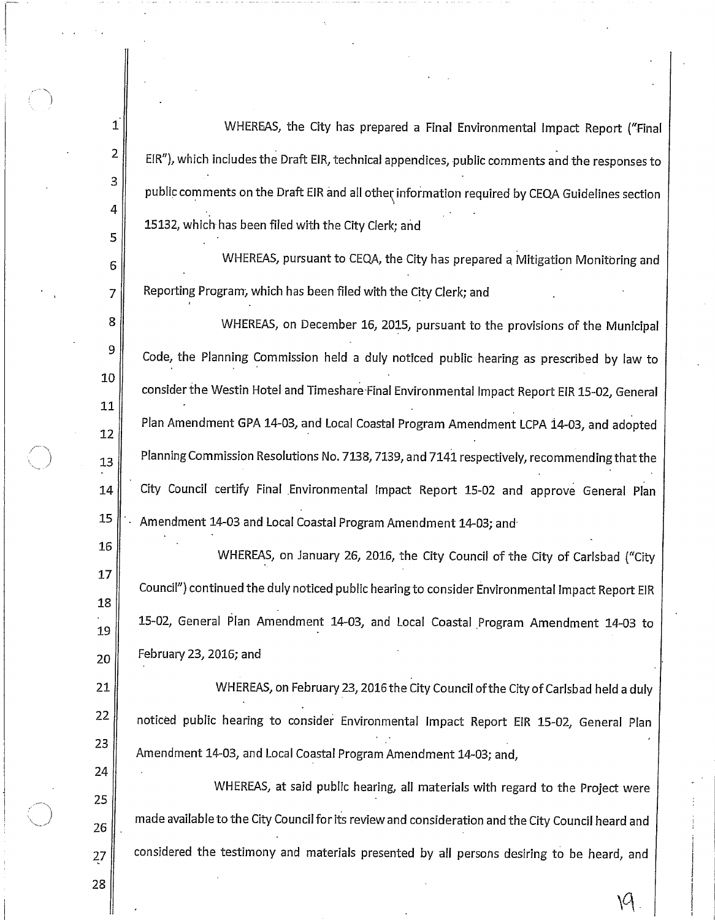WHEREAS, the City has prepared a Final Environmental Impact Report ("Final EIR"), which includes the Draft EIR, technical appendices, public comments and the responses to public comments on the Draft EIR and all other information required by CEQA Guidelines section 15132, which has been filed with the City Clerk; and

WHEREAS, pursuant to CEQA, the City has prepared a Mitigation Monitoring and Reporting Program, which has been filed with the City Clerk; and

WHEREAS, on December 16, 2015, pursuant to the provisions of the Municipal Code, the Planning Commission held a duly noticed public hearing as prescribed by law to consider the Westin Hotel and Timeshare Final Environmental Impact Report EIR 15-02, General Plan Amendment GPA 14-03, and Local Coastal Program Amendment LCPA 14-03, and adopted Planning Commission Resolutions No. 7138, 7139, and 7141 respectively, recommending that the City Council certify Final Environmental Impact Report 15-02 and approve General Plan Amendment 14-03 and Local Coastal Program Amendment 14-03; and

WHEREAS, on January 26, 2016, the City Council of the City of Carlsbad ("City Council") continued the duly noticed public hearing to consider Environmental Impact Report EIR 15-02, General Plan Amendment 14-03, and Local Coastal Program Amendment 14-03 to February 23, 2016; and

WHEREAS, on February 23, 2016 the City Council of the City of Carlsbad held a duly noticed public hearing to consider Environmental Impact Report EIR 15-02, General Plan Amendment 14-03, and Local Coastal Program Amendment 14-03; and,

WHEREAS, at said public hearing, all materials with regard to the Project were made available to the City Council for its review and consideration and the City Council heard and considered the testimony and materials presented by all persons desiring to be heard, and

28

27

 $\mathbf{1}$ 

 $\overline{2}$ 

3

4

5

6

 $\overline{7}$ 

8

9

10

11

12

13

14

15

16

17

18

19

20

21

22

23

24

25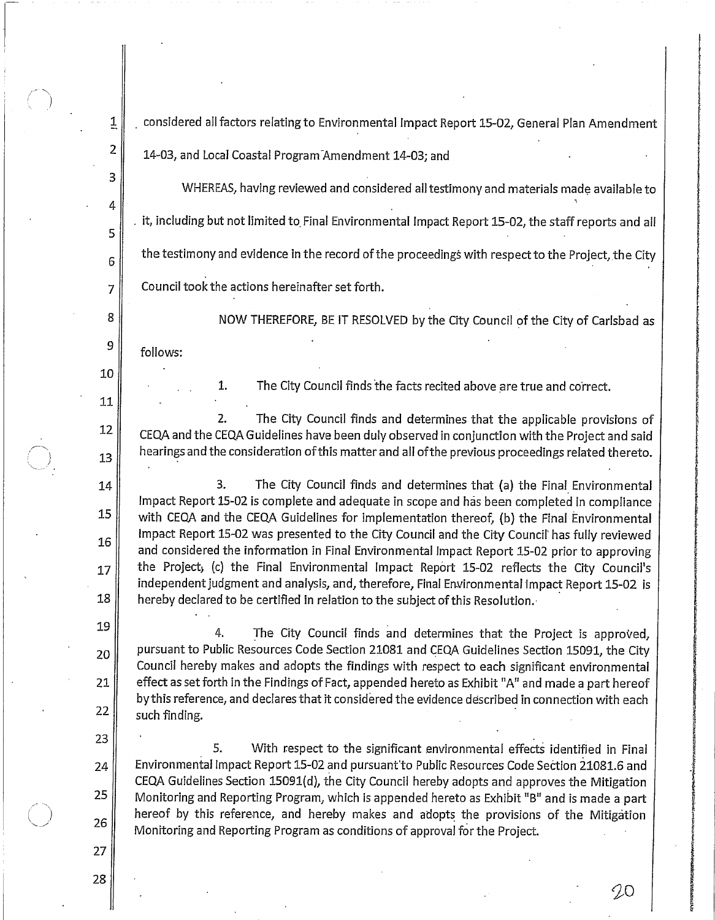considered all factors relating to Environmental Impact Report 15-02, General Plan Amendment

14-03, and Local Coastal Program Amendment 14-03; and

WHEREAS, having reviewed and considered all testimony and materials made available to it, including but not limited to Final Environmental Impact Report 15-02, the staff reports and all the testimony and evidence in the record of the proceedings with respect to the Project, the City Council took the actions hereinafter set forth.

follows:

1.

1

 $\overline{2}$ 

3

4

5

 $\overline{6}$ 

 $\overline{7}$ 

8

9

10

11

12

13

14

15

16

17

18

19

20

21

22

23

24

25

26

The City Council finds the facts recited above are true and correct.

NOW THEREFORE, BE IT RESOLVED by the City Council of the City of Carlsbad as

 $2.$ The City Council finds and determines that the applicable provisions of CEQA and the CEQA Guidelines have been duly observed in conjunction with the Project and said hearings and the consideration of this matter and all of the previous proceedings related thereto.

3. The City Council finds and determines that (a) the Final Environmental Impact Report 15-02 is complete and adequate in scope and has been completed in compliance with CEQA and the CEQA Guidelines for implementation thereof, (b) the Final Environmental Impact Report 15-02 was presented to the City Council and the City Council has fully reviewed and considered the information in Final Environmental Impact Report 15-02 prior to approving the Project, (c) the Final Environmental Impact Report 15-02 reflects the City Council's independent judgment and analysis, and, therefore, Final Environmental Impact Report 15-02 is hereby declared to be certified in relation to the subject of this Resolution.

4. The City Council finds and determines that the Project is approved, pursuant to Public Resources Code Section 21081 and CEQA Guidelines Section 15091, the City Council hereby makes and adopts the findings with respect to each significant environmental effect as set forth in the Findings of Fact, appended hereto as Exhibit "A" and made a part hereof by this reference, and declares that it considered the evidence described in connection with each such finding.

5. With respect to the significant environmental effects identified in Final Environmental Impact Report 15-02 and pursuant to Public Resources Code Section 21081.6 and CEQA Guidelines Section 15091(d), the City Council hereby adopts and approves the Mitigation Monitoring and Reporting Program, which is appended hereto as Exhibit "B" and is made a part hereof by this reference, and hereby makes and adopts the provisions of the Mitigation Monitoring and Reporting Program as conditions of approval for the Project.

90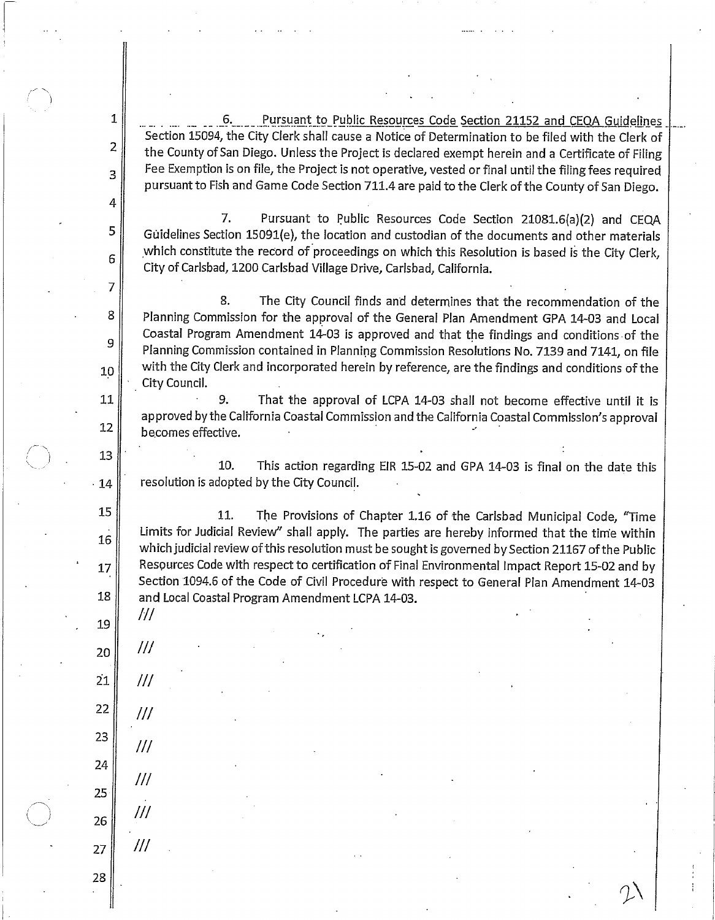Pursuant to Public Resources Code Section 21152 and CEQA Guidelines 6. Section 15094, the City Clerk shall cause a Notice of Determination to be filed with the Clerk of the County of San Diego. Unless the Project is declared exempt herein and a Certificate of Filing Fee Exemption is on file, the Project is not operative, vested or final until the filing fees required pursuant to Fish and Game Code Section 711.4 are paid to the Clerk of the County of San Diego.

7. Pursuant to Public Resources Code Section 21081.6(a)(2) and CEQA Guidelines Section 15091(e), the location and custodian of the documents and other materials which constitute the record of proceedings on which this Resolution is based is the City Clerk, City of Carlsbad, 1200 Carlsbad Village Drive, Carlsbad, California.

8. The City Council finds and determines that the recommendation of the Planning Commission for the approval of the General Plan Amendment GPA 14-03 and Local Coastal Program Amendment 14-03 is approved and that the findings and conditions of the Planning Commission contained in Planning Commission Resolutions No. 7139 and 7141, on file with the City Clerk and incorporated herein by reference, are the findings and conditions of the City Council.

9. That the approval of LCPA 14-03 shall not become effective until it is approved by the California Coastal Commission and the California Coastal Commission's approval becomes effective.

10. This action regarding EIR 15-02 and GPA 14-03 is final on the date this resolution is adopted by the City Council.

11. The Provisions of Chapter 1.16 of the Carlsbad Municipal Code, "Time Limits for Judicial Review" shall apply. The parties are hereby informed that the time within which judicial review of this resolution must be sought is governed by Section 21167 of the Public Resources Code with respect to certification of Final Environmental Impact Report 15-02 and by Section 1094.6 of the Code of Civil Procedure with respect to General Plan Amendment 14-03 and Local Coastal Program Amendment LCPA 14-03.

///

 $III$ 

 $III$ 

 $III$ 

 $^{\prime\prime\prime}$ 

 $^{\prime\prime\prime}$ 

 $\mathbf{1}$ 

 $\overline{2}$ 

 $\overline{3}$ 

4

5

6

 $\overline{7}$ 

8

9

10

11

12

13

14

15

16

17

18

19

20

 $21$  $^{\prime\prime\prime}$ 

22 23

25

27

28

24

26

 $III$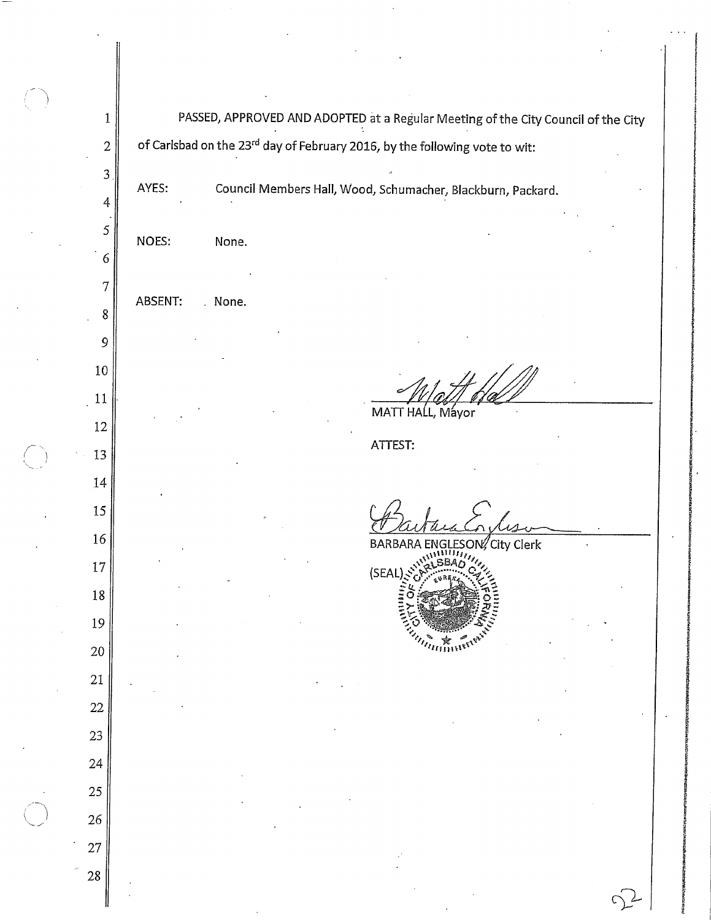PASSED, APPROVED AND ADOPTED at a Regular Meeting of the City Council of the City  $1\,$ of Carlsbad on the 23<sup>rd</sup> day of February 2016, by the following vote to wit:  $\overline{2}$  $\mathfrak{Z}$ Council Members Hall, Wood, Schumacher, Blackburn, Packard. AYES:  $\overline{4}$ 5 NOES: None. 6  $\overline{7}$ ABSENT: . None. 8 9  $10\,$  $11$ MATT HALL, Mayor  $12$ ATTEST: 13 14 15 16 City Clerk **BARBARA** O 17 (SEAI  $18\,$ 19 20 21 22 23 24 25 26  $27\,$ 28 C)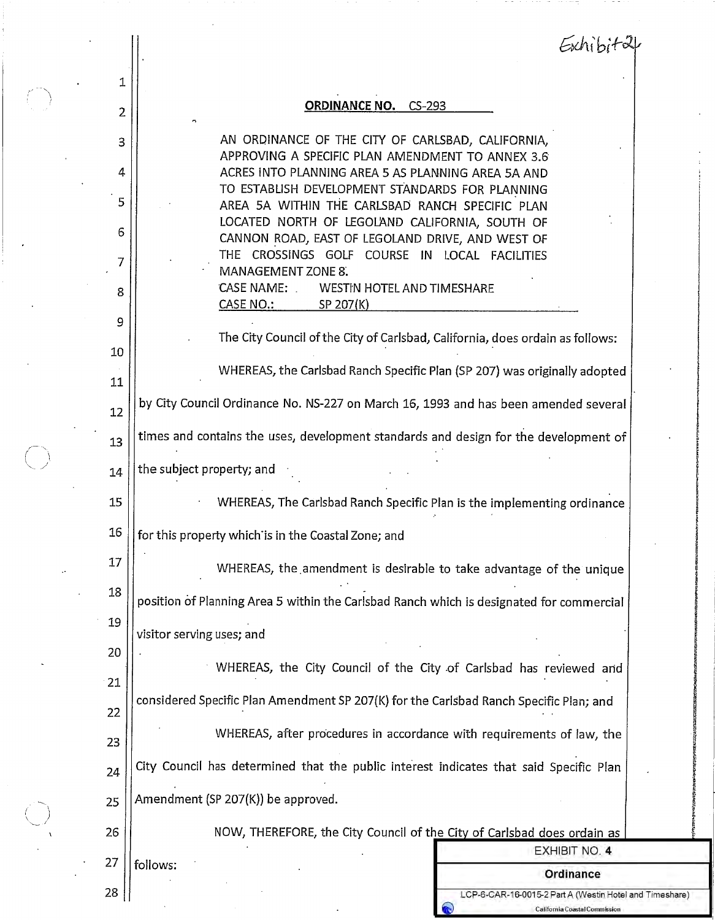| 1        |                                                                                                                                                       |
|----------|-------------------------------------------------------------------------------------------------------------------------------------------------------|
| 2        | <b>ORDINANCE NO. CS-293</b>                                                                                                                           |
| 3        | AN ORDINANCE OF THE CITY OF CARLSBAD, CALIFORNIA,<br>APPROVING A SPECIFIC PLAN AMENDMENT TO ANNEX 3.6                                                 |
| 4        | ACRES INTO PLANNING AREA 5 AS PLANNING AREA 5A AND<br>TO ESTABLISH DEVELOPMENT STANDARDS FOR PLANNING                                                 |
| 5<br>6   | AREA 5A WITHIN THE CARLSBAD RANCH SPECIFIC PLAN<br>LOCATED NORTH OF LEGOLAND CALIFORNIA, SOUTH OF<br>CANNON ROAD, EAST OF LEGOLAND DRIVE, AND WEST OF |
| 7        | THE CROSSINGS GOLF COURSE IN LOCAL FACILITIES<br>MANAGEMENT ZONE 8.                                                                                   |
| 8        | CASE NAME:<br>WESTIN HOTEL AND TIMESHARE<br>CASE NO.:<br>SP 207(K)                                                                                    |
| 9        | The City Council of the City of Carlsbad, California, does ordain as follows:                                                                         |
| 10<br>11 | WHEREAS, the Carlsbad Ranch Specific Plan (SP 207) was originally adopted                                                                             |
| 12       | by City Council Ordinance No. NS-227 on March 16, 1993 and has been amended several                                                                   |
| 13       | times and contains the uses, development standards and design for the development of                                                                  |
| 14       | the subject property; and                                                                                                                             |
| 15       | WHEREAS, The Carlsbad Ranch Specific Plan is the implementing ordinance                                                                               |
| 16       | for this property which is in the Coastal Zone; and                                                                                                   |
| 17       | WHEREAS, the amendment is desirable to take advantage of the unique                                                                                   |
| 18       | position of Planning Area 5 within the Carlsbad Ranch which is designated for commercial                                                              |
| 19       | visitor serving uses; and                                                                                                                             |
| 20       | WHEREAS, the City Council of the City of Carlsbad has reviewed and                                                                                    |
| 21<br>22 | considered Specific Plan Amendment SP 207(K) for the Carlsbad Ranch Specific Plan; and                                                                |
| 23       | WHEREAS, after procedures in accordance with requirements of law, the                                                                                 |
| 24       | City Council has determined that the public interest indicates that said Specific Plan                                                                |
| 25       | Amendment (SP 207(K)) be approved.                                                                                                                    |
| 26       | NOW, THEREFORE, the City Council of the City of Carlsbad does ordain as                                                                               |
| 27       | EXHIBIT NO. 4<br>follows:<br>Ordinance                                                                                                                |
| 28       | LCP-6-CAR-16-0015-2 Part A (Westin Hotel and Timeshare)                                                                                               |

California Coastal Commission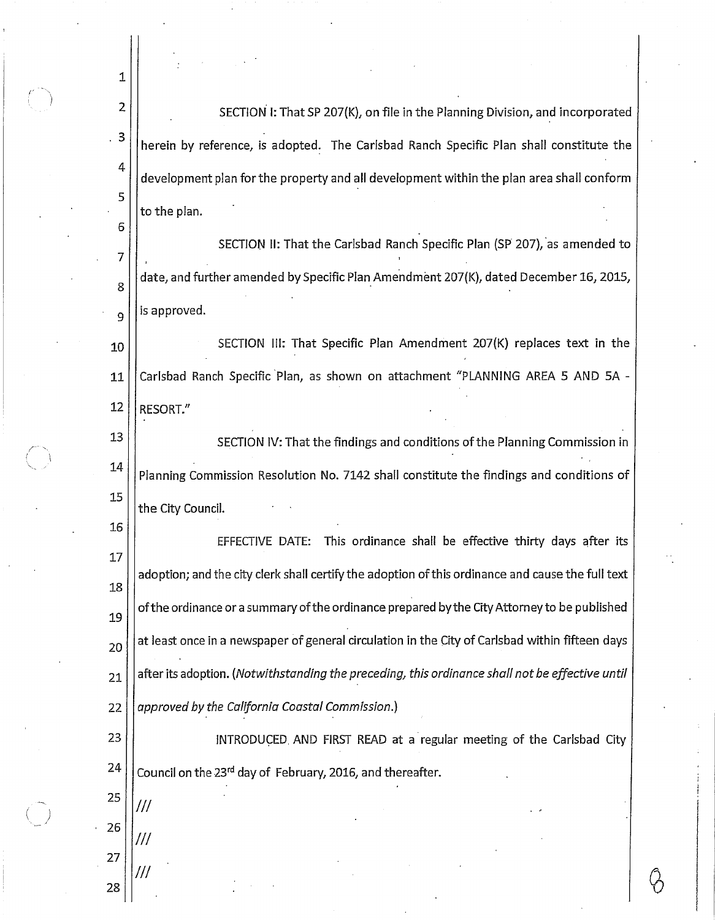SECTION I: That SP 207(K), on file in the Planning Division, and incorporated herein by reference, is adopted. The Carlsbad Ranch Specific Plan shall constitute the development plan for the property and all development within the plan area shall conform to the plan. SECTION II: That the Carlsbad Ranch Specific Plan (SP 207), as amended to

date, and further amended by Specific Plan Amendment 207(K), dated December 16, 2015, 8 is approved. 9

SECTION III: That Specific Plan Amendment 207(K) replaces text in the 10 Carlsbad Ranch Specific Plan, as shown on attachment "PLANNING AREA 5 AND 5A -11 12 RESORT."

13 SECTION IV: That the findings and conditions of the Planning Commission in 14 Planning Commission Resolution No. 7142 shall constitute the findings and conditions of 15 the City Council.

EFFECTIVE DATE: This ordinance shall be effective thirty days after its 17 adoption; and the city clerk shall certify the adoption of this ordinance and cause the full text 18 of the ordinance or a summary of the ordinance prepared by the City Attorney to be published 19 at least once in a newspaper of general circulation in the City of Carlsbad within fifteen days 20 after its adoption. (Notwithstanding the preceding, this ordinance shall not be effective until 21 approved by the California Coastal Commission.) 22

23 INTRODUCED. AND FIRST READ at a regular meeting of the Carlsbad City 24 Council on the 23rd day of February, 2016, and thereafter.

27 28

25

26

///

///

1

 $\overline{2}$ 

3

4

5

6

 $\overline{7}$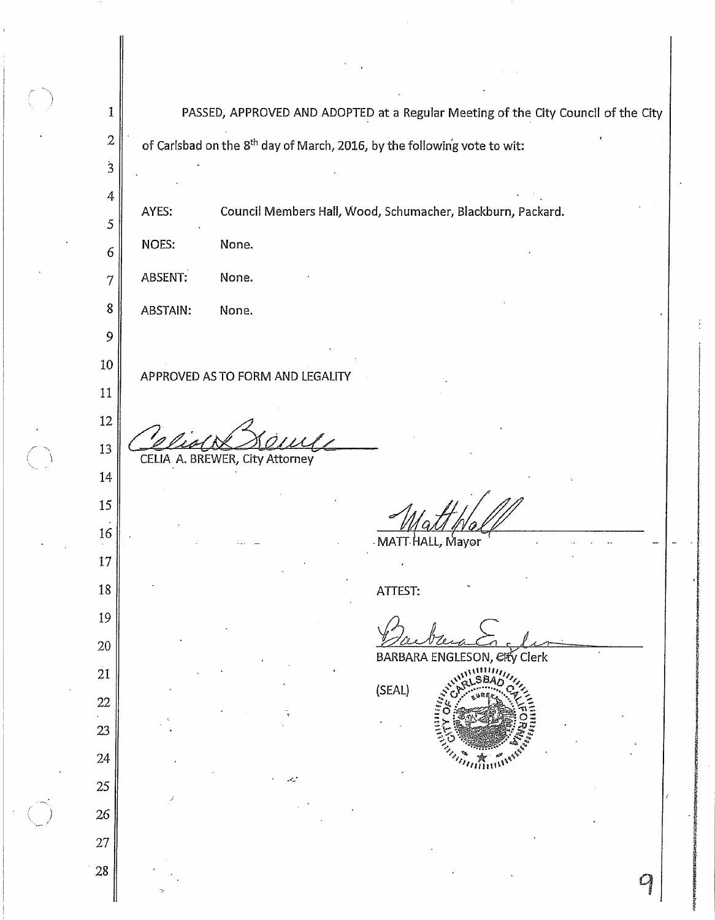PASSED, APPROVED AND ADOPTED at a Regular Meeting of the City Council of the City  $\mathbf{1}$  $\overline{2}$ of Carlsbad on the 8<sup>th</sup> day of March, 2016, by the following vote to wit:  $\mathbf{3}$ 4 Council Members Hall, Wood, Schumacher, Blackburn, Packard. AYES: 5 NOES: None. 6 ABSENT: None.  $\overline{7}$ 8 ABSTAIN: None. 9 10 APPROVED AS TO FORM AND LEGALITY 11 12 13 CELIA A. BREWER, City Attorney 14 15 16 Mayor MATT 17 18 ATTEST: 19 20 **BARBARA ENGLESON, Elfy Clerk**  $\overline{21}$ (SEAL) 22 23 24 25 26 27 28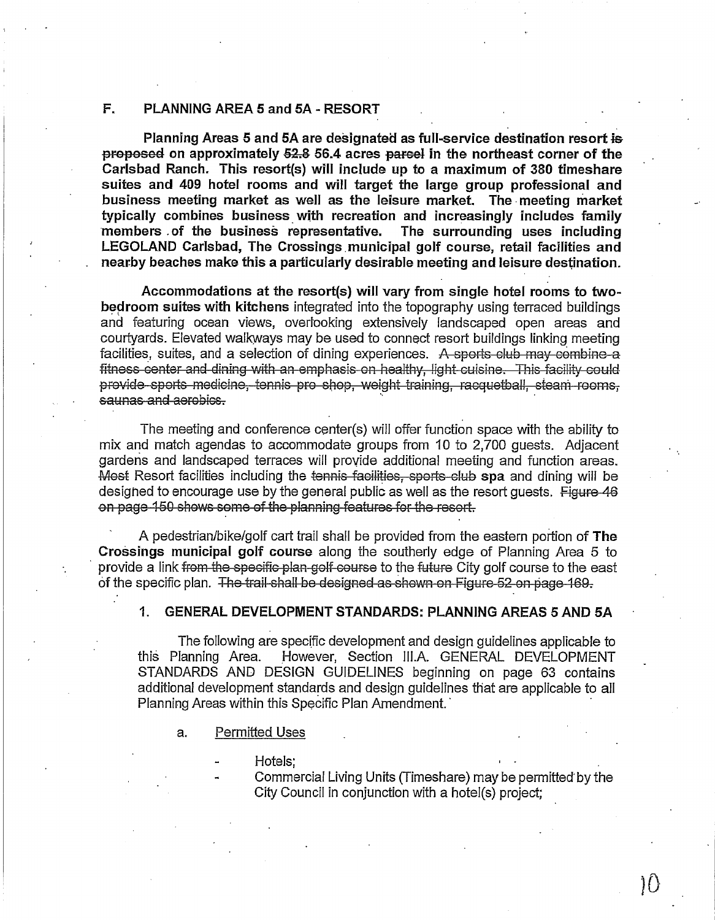#### F. PLANNING AREA 5 and 5A - RESORT

Planning Areas 5 and 5A are designated as full-service destination resort is proposed on approximately 52.8 56.4 acres parcel in the northeast corner of the Carlsbad Ranch. This resort(s) will include up to a maximum of 380 timeshare suites and 409 hotel rooms and will target the large group professional and business meeting market as well as the leisure market. The meeting market typically combines business with recreation and increasingly includes family members of the business representative. The surrounding uses including LEGOLAND Carlsbad, The Crossings municipal golf course, retail facilities and nearby beaches make this a particularly desirable meeting and leisure destination.

Accommodations at the resort(s) will vary from single hotel rooms to twobedroom suites with kitchens integrated into the topography using terraced buildings and featuring ocean views, overlooking extensively landscaped open areas and courtyards. Elevated walkways may be used to connect resort buildings linking meeting facilities, suites, and a selection of dining experiences. A sports club may combine a fitness center and dining with an emphasis on healthy, light cuisine. This facility could provide sports medicine, tennis pro shop, weight training, racquetball, steam rooms, saunas and aerobics.

The meeting and conference center(s) will offer function space with the ability to mix and match agendas to accommodate groups from 10 to 2,700 guests. Adjacent gardens and landscaped terraces will provide additional meeting and function areas. Most Resort facilities including the tennis facilities, sports club spa and dining will be designed to encourage use by the general public as well as the resort guests. Figure 46 on page 150 shows some of the planning features for the resort.

A pedestrian/bike/golf cart trail shall be provided from the eastern portion of The Crossings municipal golf course along the southerly edge of Planning Area 5 to provide a link from the specific plan golf course to the future City golf course to the east of the specific plan. The trail shall be designed as shown on Figure 52 on page 169.

#### $1$ GENERAL DEVELOPMENT STANDARDS: PLANNING AREAS 5 AND 5A

The following are specific development and design quidelines applicable to this Planning Area. However, Section III.A. GENERAL DEVELOPMENT STANDARDS AND DESIGN GUIDELINES beginning on page 63 contains additional development standards and design guidelines that are applicable to all Planning Areas within this Specific Plan Amendment.

- **Permitted Uses** a.
	- Hotels:
	- Commercial Living Units (Timeshare) may be permitted by the City Council in conjunction with a hotel(s) project;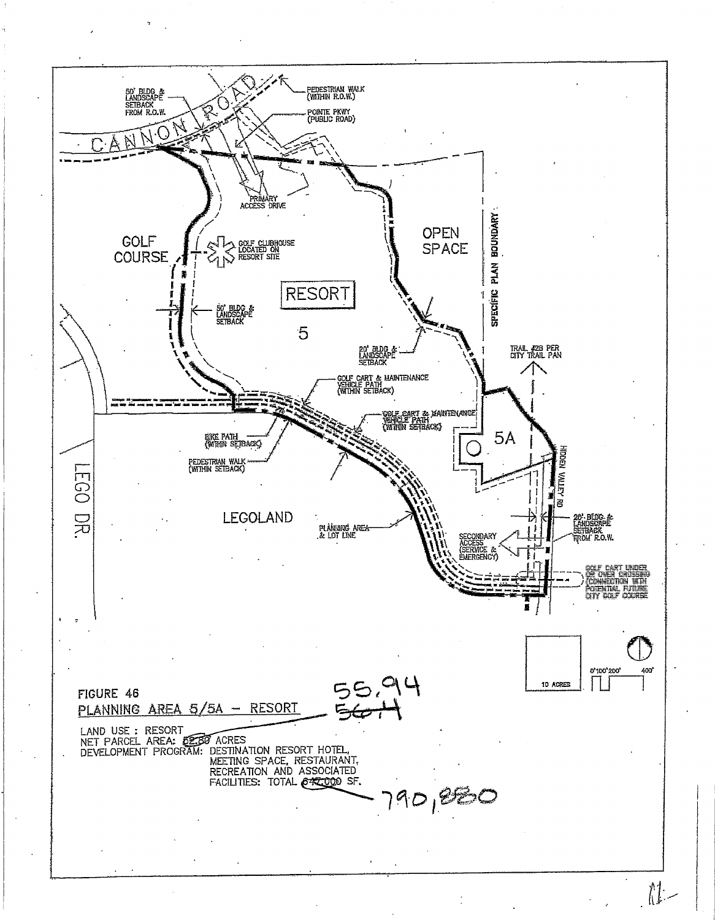

 $\prod_{i=1}^{n} \frac{1}{i}$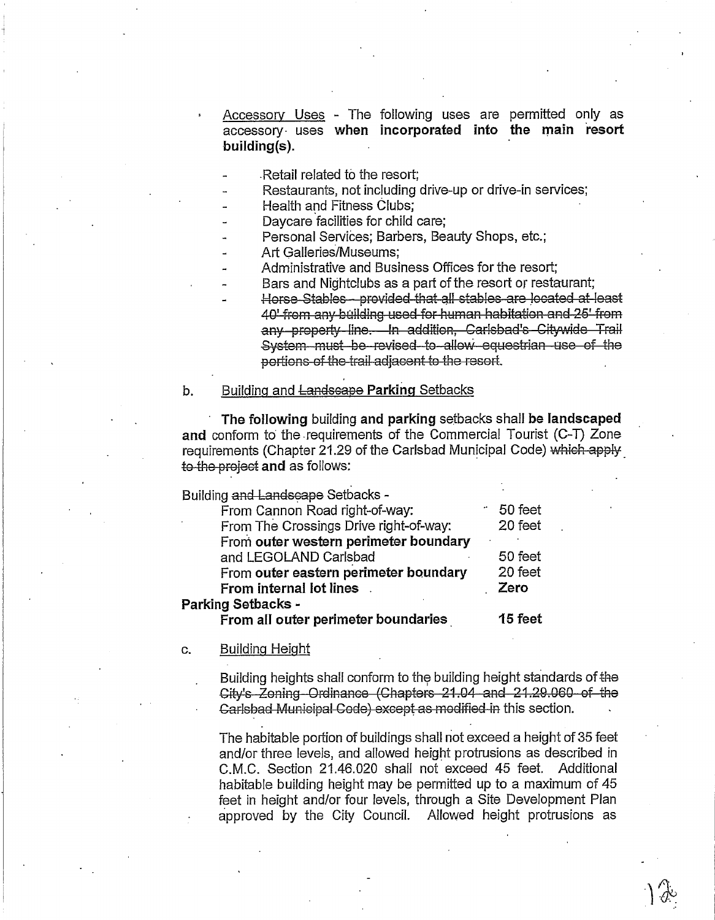Accessory Uses - The following uses are permitted only as accessory uses when incorporated into the main resort  $building(s)$ .

Retail related to the resort:

Restaurants, not including drive-up or drive-in services;

Health and Fitness Clubs:

Davcare facilities for child care;

Personal Services; Barbers, Beauty Shops, etc.;

Art Galleries/Museums:

Administrative and Business Offices for the resort;

Bars and Nightclubs as a part of the resort or restaurant;

Horse Stables - provided that all stables are located at least 40' from any building used for human habitation and 25' from any property line. In addition, Carlsbad's Citywide Trail System must be revised to allow equestrian use of the portions of the trail adjacent to the resort.

#### b. Building and Landscape Parking Setbacks

The following building and parking setbacks shall be landscaped and conform to the requirements of the Commercial Tourist (C-T) Zone requirements (Chapter 21.29 of the Carlsbad Municipal Code) which apply to the project and as follows:

Building and Landscape Setbacks -

| From Cannon Road right-of-way:         |  | 50 feet |  |  |
|----------------------------------------|--|---------|--|--|
| From The Crossings Drive right-of-way: |  | 20 feet |  |  |
| From outer western perimeter boundary  |  |         |  |  |
| and LEGOLAND Carlsbad                  |  | 50 feet |  |  |
| From outer eastern perimeter boundary  |  | 20 feet |  |  |
| <b>From internal lot lines</b> .       |  | Zero    |  |  |
| <b>Parking Setbacks -</b>              |  |         |  |  |
| From all outer perimeter boundaries    |  | 15 feet |  |  |

#### **Building Height** c.

Building heights shall conform to the building height standards of the City's Zoning-Ordinance (Chapters 21.04 and 21.29.060 of the Carlsbad Municipal Code) except as modified in this section.

The habitable portion of buildings shall not exceed a height of 35 feet and/or three levels, and allowed height protrusions as described in C.M.C. Section 21.46.020 shall not exceed 45 feet. Additional habitable building height may be permitted up to a maximum of 45 feet in height and/or four levels, through a Site Development Plan approved by the City Council. Allowed height protrusions as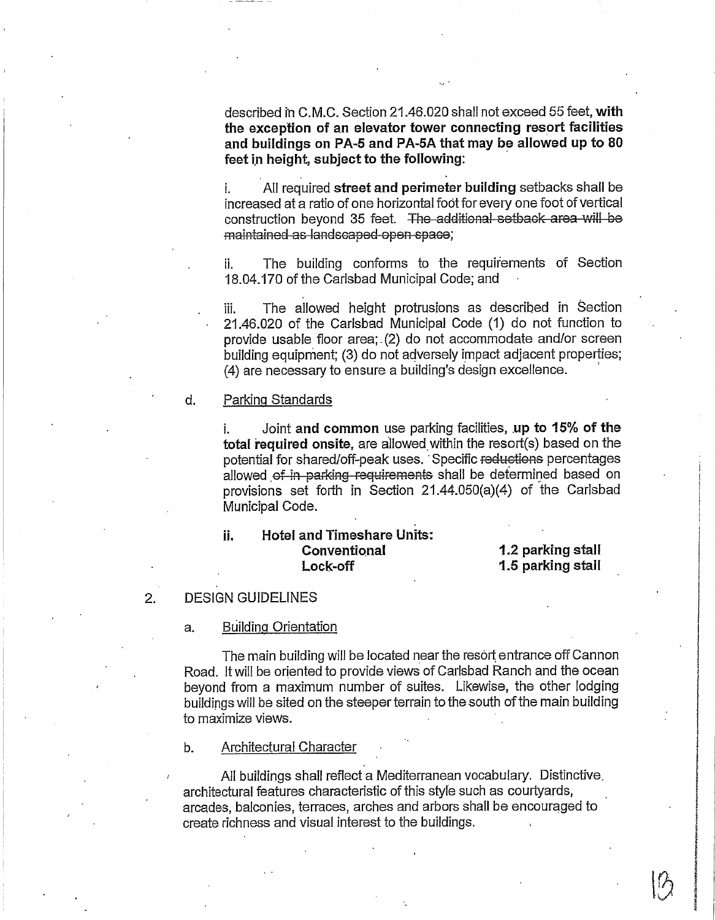described in C.M.C. Section 21.46.020 shall not exceed 55 feet, with the exception of an elevator tower connecting resort facilities and buildings on PA-5 and PA-5A that may be allowed up to 80 feet in height, subject to the following:

i. All required street and perimeter building setbacks shall be increased at a ratio of one horizontal foot for every one foot of vertical construction beyond 35 feet. The additional setback area will be maintained as landscaped open space:

The building conforms to the requirements of Section ii. 18.04.170 of the Carlsbad Municipal Code; and

The allowed height protrusions as described in Section ili. 21.46.020 of the Carlsbad Municipal Code (1) do not function to provide usable floor area; (2) do not accommodate and/or screen building equipment; (3) do not adversely impact adjacent properties; (4) are necessary to ensure a building's design excellence.

#### Parking Standards  $d_{\cdot}$

i. Joint and common use parking facilities, up to 15% of the total required onsite, are allowed within the resort(s) based on the potential for shared/off-peak uses. Specific reductions percentages allowed of in parking requirements shall be determined based on provisions set forth in Section 21.44.050(a)(4) of the Carlsbad Municipal Code.

#### **Hotel and Timeshare Units:** ii. Conventional Lock-off

1.2 parking stall 1.5 parking stall

#### **DESIGN GUIDELINES**  $2.$

#### **Building Orientation** a.

The main building will be located near the resort entrance off Cannon Road. It will be oriented to provide views of Carlsbad Ranch and the ocean beyond from a maximum number of suites. Likewise, the other lodging buildings will be sited on the steeper terrain to the south of the main building to maximize views.

#### $b.$ Architectural Character

All buildings shall reflect a Mediterranean vocabulary. Distinctive. architectural features characteristic of this style such as courtyards, arcades, balconies, terraces, arches and arbors shall be encouraged to create richness and visual interest to the buildings.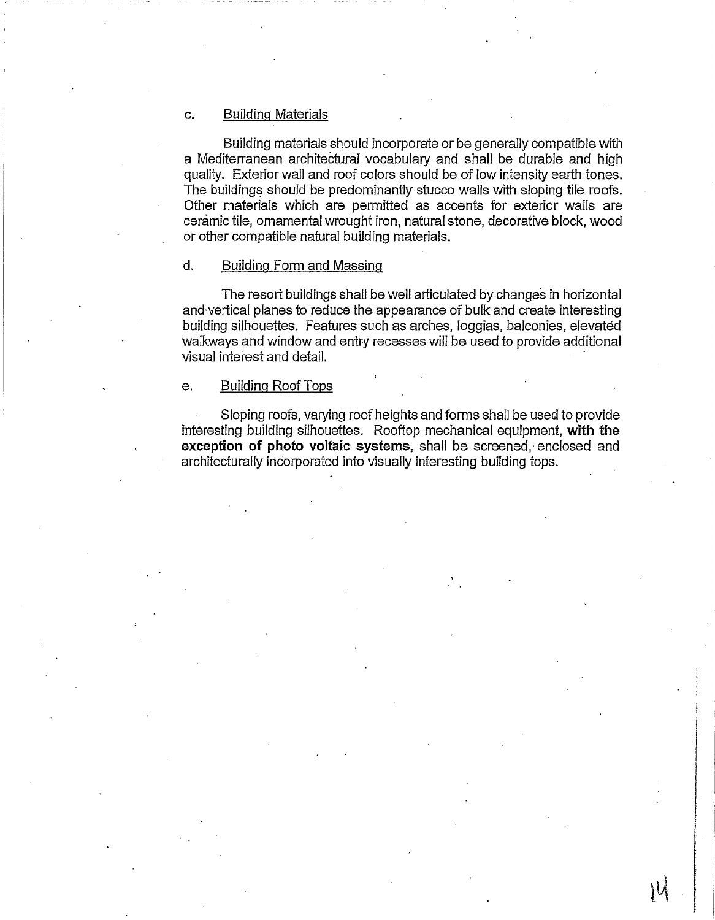#### **Building Materials** c.

Building materials should incorporate or be generally compatible with a Mediterranean architectural vocabulary and shall be durable and high quality. Exterior wall and roof colors should be of low intensity earth tones. The buildings should be predominantly stucco walls with sloping tile roofs. Other materials which are permitted as accents for exterior walls are ceramic tile, ornamental wrought iron, natural stone, decorative block, wood or other compatible natural building materials.

#### $d.$ Building Form and Massing

The resort buildings shall be well articulated by changes in horizontal and vertical planes to reduce the appearance of bulk and create interesting building silhouettes. Features such as arches, loggias, balconies, elevated walkways and window and entry recesses will be used to provide additional visual interest and detail.

#### **Building Roof Tops**  $\mathbf{e}$ .

Sloping roofs, varying roof heights and forms shall be used to provide interesting building silhouettes. Rooftop mechanical equipment, with the exception of photo voltaic systems, shall be screened, enclosed and architecturally incorporated into visually interesting building tops.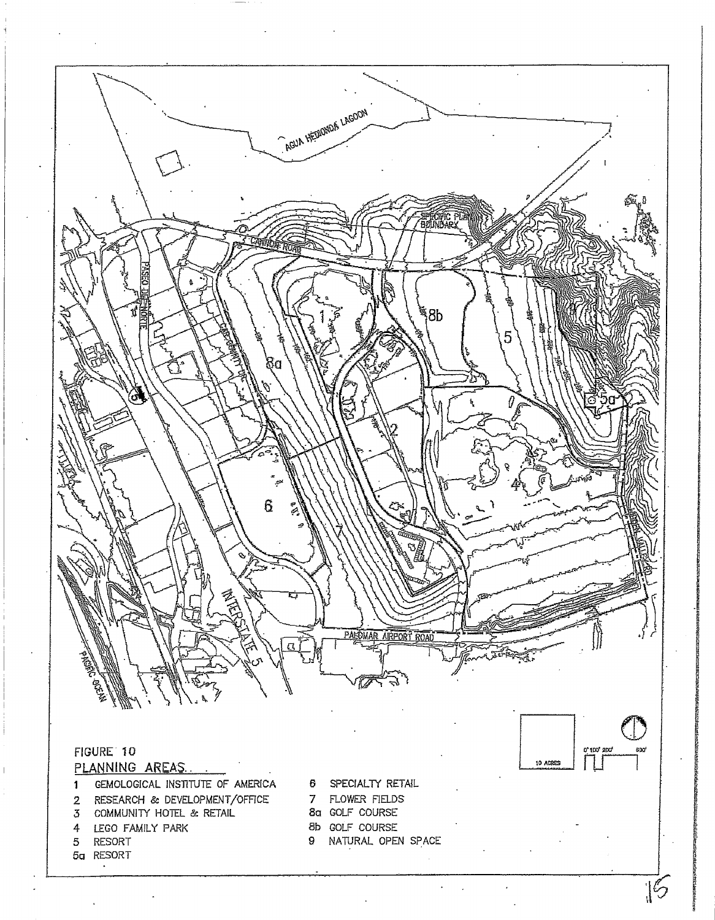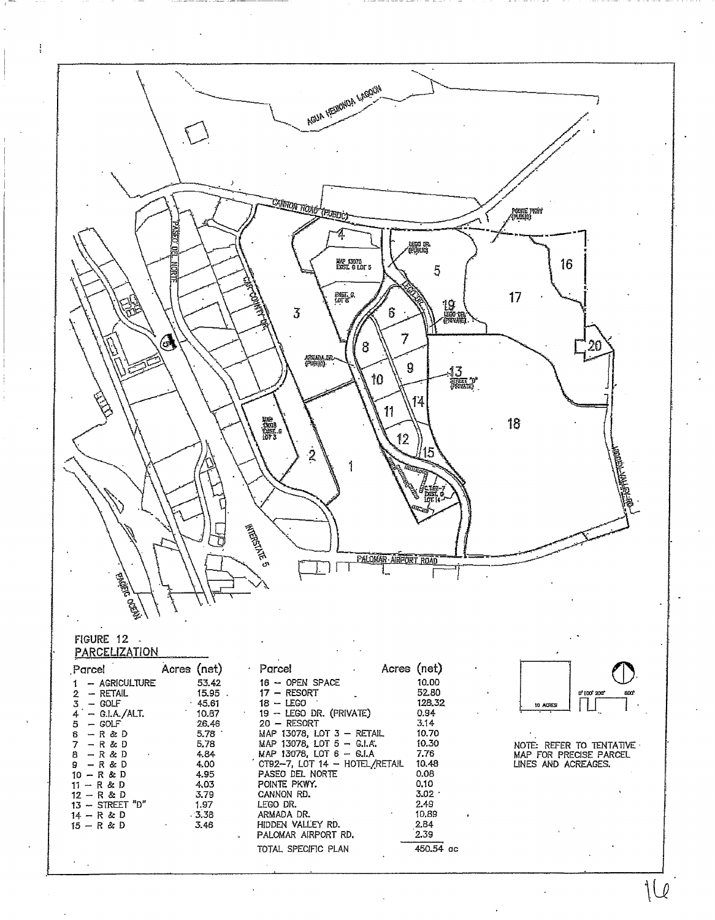

 $1Q$